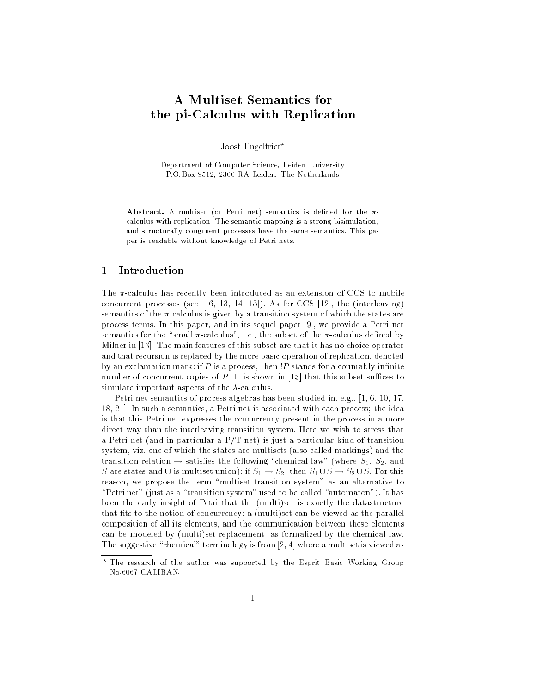# A Multiset Semantics for the pi-Calculus with Replication

Joost Engelfriet\*

Department of Computer Science, Leiden University P.O.Box 9512, 2300 RA Leiden, The Netherlands

Abstract. A multiset (or Petri net) semantics is defined for the  $\pi$ calculus with replication. The semantic mapping is a strong bisimulation, and structurally congruent processes have the same semantics. This paper is readable without knowledge of Petri nets.

## <sup>1</sup> Introduction

The  $\pi$ -calculus has recently been introduced as an extension of CCS to mobile concurrent processes (see [16, 13, 14, 15]). As for CCS [12], the (interleaving) semantics of the  $\pi$ -calculus is given by a transition system of which the states are process terms. In this paper, and in its sequel paper [9], we provide a Petri net semantics for the "small  $\pi$ -calculus", i.e., the subset of the  $\pi$ -calculus defined by Milner in [13]. The main features of this subset are that it has no choice operator and that recursion is replaced by the more basic operation of replication, denoted by an exclamation mark: if  $P$  is a process, then  $P$  stands for a countably infinite number of concurrent copies of P. It is shown in [13] that this subset suffices to simulate important aspects of the  $\lambda$ -calculus.

Petri net semantics of process algebras has been studied in, e.g., [1, 6, 10, 17, 18, 21]. In such a semantics, a Petri net is associated with each process; the idea is that this Petri net expresses the concurrency present in the process in a more direct way than the interleaving transition system. Here we wish to stress that a Petri net (and in particular a P/T net) is just a particular kind of transition system, viz. one of which the states are multisets (also called markings) and the transition relation  $\rightarrow$  satisfies the following "chemical law" (where  $S_1$ ,  $S_2$ , and S are states and  $\cup$  is multiset union): if  $S_1 \to S_2$ , then  $S_1 \cup S \to S_2 \cup S$ . For this reason, we propose the term "multiset transition system" as an alternative to "Petri net" (just as a "transition system" used to be called "automaton"). It has been the early insight of Petri that the (multi)set is exactly the datastructure that fits to the notion of concurrency: a (multi)set can be viewed as the parallel composition of all its elements, and the communication between these elements can be modeled by (multi)set replacement, as formalized by the chemical law. The suggestive "chemical" terminology is from  $[2, 4]$  where a multiset is viewed as

The research of the author was supported by the Esprit Basic Working Group No.6067 CALIBAN.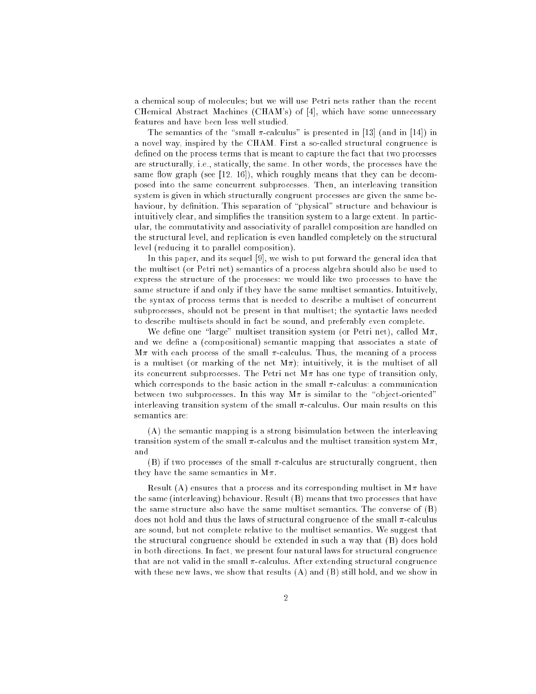a chemical soup of molecules; but we will use Petri nets rather than the recent CHemical Abstract Machines (CHAM's) of [4], which have some unnecessary features and have been less well studied.

The semantics of the "small  $\pi$ -calculus" is presented in [13] (and in [14]) in a novel way, inspired by the CHAM. First a so-called structural congruence is defined on the process terms that is meant to capture the fact that two processes are structurally, i.e., statically, the same. In other words, the processes have the same flow graph (see  $[12, 16]$ ), which roughly means that they can be decomposed into the same concurrent subprocesses. Then, an interleaving transition system is given in which structurally congruent processes are given the same behaviour, by definition. This separation of "physical" structure and behaviour is intuitively clear, and simplifies the transition system to a large extent. In particular, the commutativity and associativity of parallel composition are handled on the structural level, and replication is even handled completely on the structural level (reducing it to parallel composition).

In this paper, and its sequel [9], we wish to put forward the general idea that the multiset (or Petri net) semantics of a process algebra should also be used to express the structure of the processes: we would like two processes to have the same structure if and only if they have the same multiset semantics. Intuitively, the syntax of process terms that is needed to describe a multiset of concurrent subprocesses, should not be present in that multiset; the syntactic laws needed to describe multisets should in fact be sound, and preferably even complete.

We define one "large" multiset transition system (or Petri net), called  $M\pi$ , and we define a (compositional) semantic mapping that associates a state of  $M\pi$  with each process of the small  $\pi$ -calculus. Thus, the meaning of a process is a multiset (or marking of the net  $M\pi$ ); intuitively, it is the multiset of all its concurrent subprocesses. The Petri net  $M\pi$  has one type of transition only, which corresponds to the basic action in the small  $\pi$ -calculus: a communication between two subprocesses. In this way  $M\pi$  is similar to the "object-oriented" interleaving transition system of the small  $\pi$ -calculus. Our main results on this semantics are:

(A) the semantic mapping is a strong bisimulation between the interleaving transition system of the small  $\pi$ -calculus and the multiset transition system  $M\pi$ , and

(B) if two processes of the small  $\pi$ -calculus are structurally congruent, then they have the same semantics in  $M\pi$ .

Result (A) ensures that a process and its corresponding multiset in  $M\pi$  have the same (interleaving) behaviour. Result (B) means that two processes that have the same structure also have the same multiset semantics. The converse of (B) does not hold and thus the laws of structural congruence of the small  $\pi$ -calculus are sound, but not complete relative to the multiset semantics. We suggest that the structural congruence should be extended in such a way that (B) does hold in both directions. In fact, we present four natural laws for structural congruence that are not valid in the small  $\pi$ -calculus. After extending structural congruence with these new laws, we show that results (A) and (B) still hold, and we show in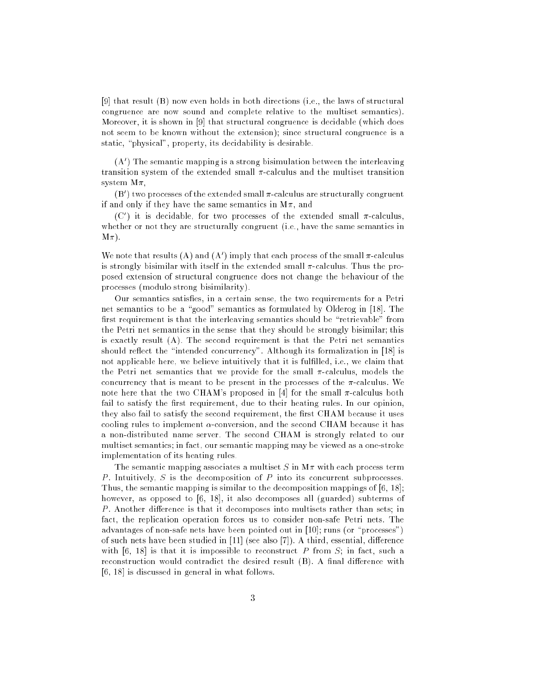[9] that result (B) now even holds in both directions (i.e., the laws of structural congruence are now sound and complete relative to the multiset semantics). Moreover, it is shown in [9] that structural congruence is decidable (which does not seem to be known without the extension); since structural congruence is a static, "physical", property, its decidability is desirable.

(A) Ine semantic mapping is a strong bisimulation between the interleaving transition system of the extended small  $\pi$ -calculus and the multiset transition system  $M\pi$ ,

(B) ) two processes of the extended small  $\pi$ -calculus are structurally congruent if and only if they have the same semantics in  $M\pi$ , and

(C) it is decidable, for two processes of the extended small  $\pi$ -calculus, whether or not they are structurally congruent (i.e., have the same semantics in  $M\pi$ ).

We note that results (A) and (A) imply that each process of the small  $\pi$ -calculus is strongly bisimilar with itself in the extended small  $\pi$ -calculus. Thus the proposed extension of structural congruence does not change the behaviour of the processes (modulo strong bisimilarity).

Our semantics satises, in a certain sense, the two requirements for a Petri net semantics to be a "good" semantics as formulated by Olderog in [18]. The first requirement is that the interleaving semantics should be "retrievable" from the Petri net semantics in the sense that they should be strongly bisimilar; this is exactly result (A). The second requirement is that the Petri net semantics should reflect the "intended concurrency". Although its formalization in [18] is not applicable here, we believe intuitively that it is fulfilled, i.e., we claim that the Petri net semantics that we provide for the small  $\pi$ -calculus, models the concurrency that is meant to be present in the processes of the  $\pi$ -calculus. We note here that the two CHAM's proposed in [4] for the small  $\pi$ -calculus both fail to satisfy the first requirement, due to their heating rules. In our opinion, they also fail to satisfy the second requirement, the first CHAM because it uses cooling rules to implement  $\alpha$ -conversion, and the second CHAM because it has a non-distributed name server. The second CHAM is strongly related to our multiset semantics; in fact, our semantic mapping may be viewed as a one-stroke implementation of its heating rules.

The semantic mapping associates a multiset S in  $M\pi$  with each process term P. Intuitively, S is the decomposition of P into its concurrent subprocesses. Thus, the semantic mapping is similar to the decomposition mappings of [6, 18]; however, as opposed to [6, 18], it also decomposes all (guarded) subterms of P. Another difference is that it decomposes into multisets rather than sets; in fact, the replication operation forces us to consider non-safe Petri nets. The advantages of non-safe nets have been pointed out in [10]; runs (or "processes") of such nets have been studied in [11] (see also [7]). A third, essential, difference with  $[6, 18]$  is that it is impossible to reconstruct P from S; in fact, such a reconstruction would contradict the desired result (B). A final difference with [6, 18] is discussed in general in what follows.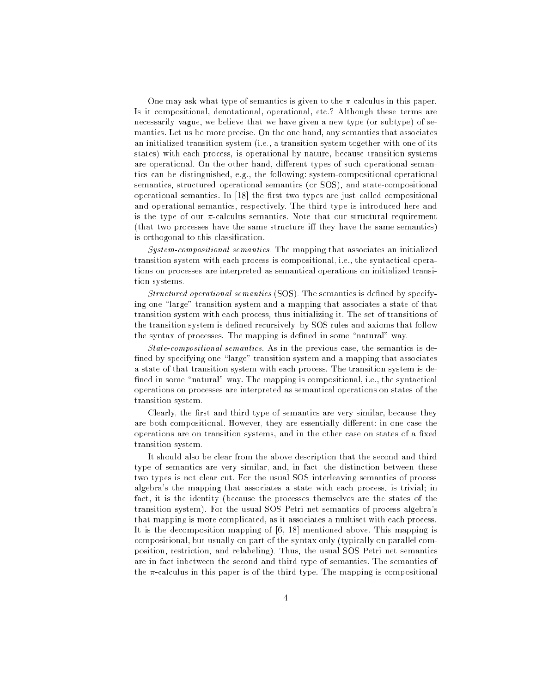One may ask what type of semantics is given to the  $\pi$ -calculus in this paper. Is it compositional, denotational, operational, etc.? Although these terms are necessarily vague, we believe that we have given a new type (or subtype) of semantics. Let us be more precise. On the one hand, any semantics that associates an initialized transition system (i.e., a transition system together with one of its states) with each process, is operational by nature, because transition systems are operational. On the other hand, different types of such operational semantics can be distinguished, e.g., the following: system-compositional operational semantics, structured operational semantics (or SOS), and state-compositional operational semantics. In [18] the first two types are just called compositional and operational semantics, respectively. The third type is introduced here and is the type of our  $\pi$ -calculus semantics. Note that our structural requirement (that two processes have the same structure iff they have the same semantics) is orthogonal to this classication.

System-compositional semantics. The mapping that associates an initialized transition system with each process is compositional, i.e., the syntactical operations on processes are interpreted as semantical operations on initialized transition systems.

Structured operational semantics  $(SOS)$ . The semantics is defined by specifying one "large" transition system and a mapping that associates a state of that transition system with each process, thus initializing it. The set of transitions of the transition system is defined recursively, by SOS rules and axioms that follow the syntax of processes. The mapping is defined in some "natural" way.

State-compositional semantics. As in the previous case, the semantics is de fined by specifying one "large" transition system and a mapping that associates a state of that transition system with each process. The transition system is de fined in some "natural" way. The mapping is compositional, i.e., the syntactical operations on processes are interpreted as semantical operations on states of the transition system.

Clearly, the first and third type of semantics are very similar, because they are both compositional. However, they are essentially different: in one case the operations are on transition systems, and in the other case on states of a fixed transition system.

It should also be clear from the above description that the second and third type of semantics are very similar, and, in fact, the distinction between these two types is not clear cut. For the usual SOS interleaving semantics of process algebra's the mapping that associates a state with each process, is trivial; in fact, it is the identity (because the processes themselves are the states of the transition system). For the usual SOS Petri net semantics of process algebra's that mapping is more complicated, as it associates a multiset with each process. It is the decomposition mapping of [6, 18] mentioned above. This mapping is compositional, but usually on part of the syntax only (typically on parallel composition, restriction, and relabeling). Thus, the usual SOS Petri net semantics are in fact inbetween the second and third type of semantics. The semantics of the  $\pi$ -calculus in this paper is of the third type. The mapping is compositional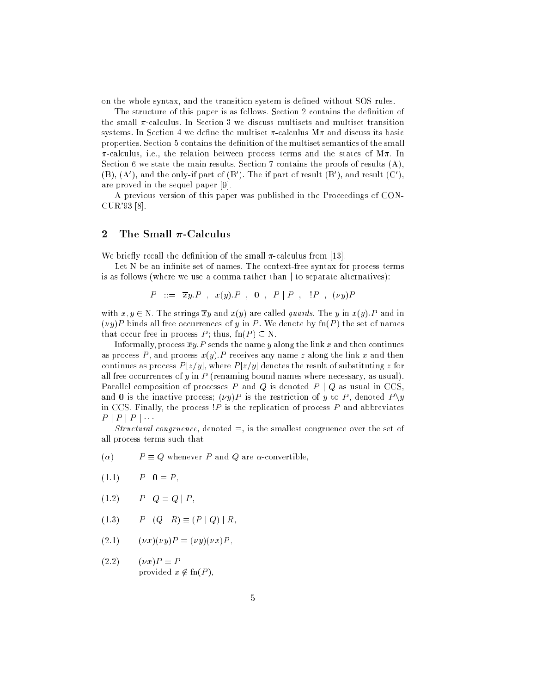on the whole syntax, and the transition system is dened without SOS rules.

The structure of this paper is as follows. Section 2 contains the definition of the small  $\pi$ -calculus. In Section 3 we discuss multisets and multiset transition systems. In Section 4 we define the multiset  $\pi$ -calculus  $M\pi$  and discuss its basic properties. Section 5 contains the denition of the multiset semantics of the small  $\pi$ -calculus, i.e., the relation between process terms and the states of M $\pi$ . In Section 6 we state the main results. Section 7 contains the proofs of results (A), (B), (A), and the only-if part of (B). The if part of result (B), and result (C), are proved in the sequel paper [9].

A previous version of this paper was published in the Proceedings of CON-CUR'93 [8].

#### 2 The Small  $\pi$ -Calculus

We briefly recall the definition of the small  $\pi$ -calculus from [13].

Let N be an infinite set of names. The context-free syntax for process terms is as follows (where we use a comma rather than  $\vert$  to separate alternatives):

$$
P \quad ::= \quad \overline{xy}.P \quad , \quad x(y).P \quad , \quad \mathbf{0} \quad , \quad P \mid P \quad , \quad !P \quad , \quad (\nu y)P
$$

with  $x, y \in N$ . The strings  $\overline{xy}$  and  $x(y)$  are called *guards*. The y in  $x(y)$ . P and in  $(vy)P$  binds all free occurrences of y in P. We denote by  $fn(P)$  the set of names that occur free in process P; thus,  $fn(P) \subset N$ .

Informally, process  $\overline{xy}.P$  sends the name y along the link x and then continues as process P, and process  $x(y)$ . P receives any name z along the link x and then continues as process  $P[z/y]$ , where  $P[z/y]$  denotes the result of substituting  $z$  for all free occurrences of  $y$  in  $P$  (renaming bound names where necessary, as usual). Parallel composition of processes P and Q is denoted  $P \mid Q$  as usual in CCS, and 0 is the inactive process;  $(\nu y)P$  is the restriction of y to P, denoted  $P \ y$ in CCS. Finally, the process  $P$  is the replication of process  $P$  and abbreviates  $P \mid P \mid P \mid \cdots$ 

Structural congruence, denoted  $\equiv$ , is the smallest congruence over the set of all process terms such that

- $(\alpha)$   $P \equiv Q$  whenever P and Q are  $\alpha$ -convertible,
- $(1.1)$   $P | 0 \equiv P,$
- $(1.2)$   $P | Q \equiv Q | P$ ,
- (1.3)  $P | (Q | R) \equiv (P | Q) | R$ ,
- $(2.1)$   $(\nu x)(\nu y)P \equiv (\nu y)(\nu x)P,$
- $(2.2)$   $(\nu x)P \equiv P$ provided  $x \notin \text{fn}(P)$ ,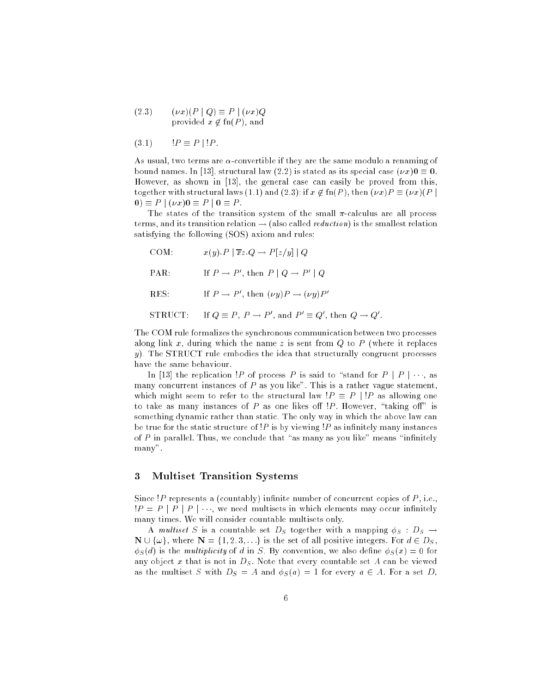(2.3)  $(\nu x)(P \mid Q) \equiv P \mid (\nu x)Q$ provided  $x \notin \text{fn}(P)$ , and

$$
(3.1) \t IP \equiv P || P.
$$

As usual, two terms are  $\alpha$ -convertible if they are the same modulo a renaming of bound names. In [13], structural law (2.2) is stated as its special case  $(\nu x)0 \equiv 0$ . However, as shown in [13], the general case can easily be proved from this, together with structural laws (1.1) and (2.3): if  $x \notin \text{fn}(P)$ , then  $(\nu x)P \equiv (\nu x)(P \mid$  $0 \equiv P \mid (\nu x)0 \equiv P \mid 0 \equiv P$ .

The states of the transition system of the small  $\pi$ -calculus are all process terms, and its transition relation  $\rightarrow$  (also called *reduction*) is the smallest relation satisfying the following (SOS) axiom and rules:

- COM:  $x(y).P \mid \overline{x}z.Q \rightarrow P[z/y] \mid Q$ PAR: If  $P \to P$ , then  $P \mid Q \to P \mid Q$
- R.E.S:  $II \rightharpoonup P$  , then  $\lbrack \nu \nu \rbrack \rbrack \rightharpoonup \lbrack \nu \nu \rbrack \rbrack$
- SIRUCI: II  $Q = P, P \rightarrow P$ , and  $P = Q$ , then  $Q \rightarrow Q$ .

The COM rule formalizes the synchronous communication between two processes along link x, during which the name z is sent from  $Q$  to  $P$  (where it replaces  $y$ ). The STRUCT rule embodies the idea that structurally congruent processes have the same behaviour.

In [13] the replication !P of process P is said to "stand for  $P \mid P \mid \cdots$ , as many concurrent instances of  $P$  as you like". This is a rather vague statement which might seem to refer to the structural law  $P \equiv P | P$  as allowing one to take as many instances of  $P$  as one likes off  $\overline{P}$ . However, "taking off" is something dynamic rather than static. The only way in which the above law can be true for the static structure of  $P$  is by viewing  $P$  as infinitely many instances of  $P$  in parallel. Thus, we conclude that "as many as you like" means "infinitely many".

## <sup>3</sup> Multiset Transition Systems

Since !P represents a (countably) infinite number of concurrent copies of  $P$ , i.e.,  $P = P | P | P | \cdots$ , we need multisets in which elements may occur infinitely many times. We will consider countable multisets only.

A multiset S is a countable set  $D<sub>S</sub>$  together with a mapping  $\phi<sub>S</sub> : D<sub>S</sub> \rightarrow$  $\mathbf{N} \cup \{\omega\}$ , where  $\mathbf{N} = \{1, 2, 3, \ldots\}$  is the set of all positive integers. For  $d \in D_S$ ,  $\phi_S(d)$  is the *multiplicity* of d in S. By convention, we also define  $\phi_S(x) = 0$  for any object x that is not in  $D<sub>S</sub>$ . Note that every countable set A can be viewed as the multiset S with  $D_S = A$  and  $\phi_S(a) = 1$  for every  $a \in A$ . For a set D,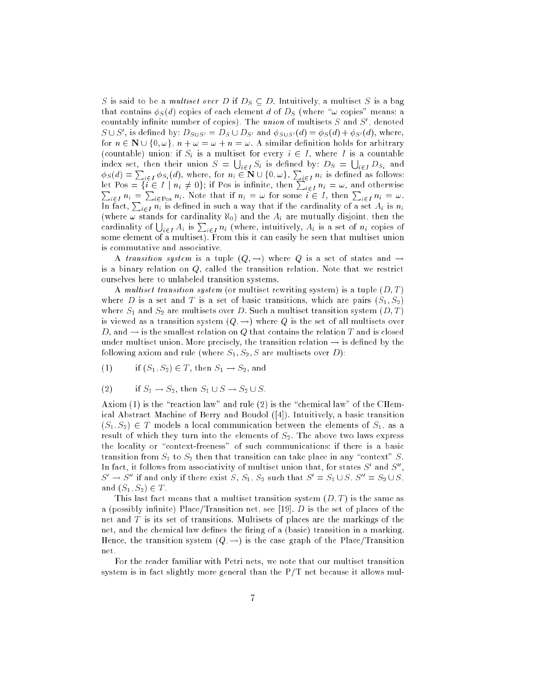S is said to be a *multiset over* D if  $D_S \subseteq D$ . Intuitively, a multiset S is a bag that contains  $\phi_S(d)$  copies of each element d of  $D_S$  (where " $\omega$  copies" means: a countably infinite number of copies). The  $\it{union}$  of multisets  $\it{S}$  and  $\it{S}$  , denoted  $S \cup S$ , is defined by:  $D_{S \cup S'} = D_S \cup D_{S'}$  and  $\varphi_{S \cup S'}(a) = \varphi_S(a) + \varphi_{S'}(a)$ , where, for  $n \in \mathbb{N} \cup \{0, \omega\}, n + \omega = \omega + n = \omega$ . A similar definition holds for arbitrary (countable) union: if  $S_i$  is a multiset for every  $i \in I$ , where I is a countable index set, then their union  $S = \bigcup_{i \in I} S_i$  is defined by:  $D_S = \bigcup$  $\phi_S(d) = \sum_{i \in I} \phi_{S_i}(d)$ , where, for  $n_i \in \mathbb{N} \cup \{0, \omega\}$ ,  $\sum_{i \in I} n_i$  is defined as follows:<br>let Pos = { $i \in I \mid n_i \neq 0$ }; if Pos is infinite, then  $\sum_{i \in I} n_i = \omega$ , and otherwise<br> $\sum_{i \in I} n_i = \sum_{i \in P \text{os}} n_i$ . Note that (where  $\omega$  stands for cardinality  $\aleph_0$ ) and the  $A_i$  are mutually disjoint, then the cardinality of  $\bigcup_{i\in I} A_i$  is  $\sum_{i\in I} n_i$  (where, intuitively,  $A_i$  is a set of  $n_i$  copies of some element of a multiset). From this it can easily be seen that multiset union is commutative and associative.

A transition system is a tuple  $(Q, \rightarrow)$  where Q is a set of states and  $\rightarrow$ is a binary relation on  $Q$ , called the transition relation. Note that we restrict ourselves here to unlabeled transition systems.

A multiset transition system (or multiset rewriting system) is a tuple  $(D, T)$ where D is a set and T is a set of basic transitions, which are pairs  $(S_1, S_2)$ where  $S_1$  and  $S_2$  are multisets over D. Such a multiset transition system  $(D, T)$ is viewed as a transition system  $(Q, \rightarrow)$  where Q is the set of all multisets over D, and  $\rightarrow$  is the smallest relation on Q that contains the relation T and is closed under multiset union. More precisely, the transition relation  $\rightarrow$  is defined by the following axiom and rule (where  $S_1, S_2, S$  are multisets over D):

(1) if  $(S_1, S_2) \in T$ , then  $S_1 \to S_2$ , and

(2) if 
$$
S_1 \rightarrow S_2
$$
, then  $S_1 \cup S \rightarrow S_2 \cup S$ .

Axiom (1) is the "reaction law" and rule (2) is the "chemical law" of the CHemical Abstract Machine of Berry and Boudol ([4]). Intuitively, a basic transition  $(S_1, S_2) \in T$  models a local communication between the elements of  $S_1$ , as a result of which they turn into the elements of  $S_2$ . The above two laws express the locality or "context-freeness" of such communications: if there is a basic transition from  $S_1$  to  $S_2$  then that transition can take place in any "context" S. In fact, it follows from associativity of multiset union that, for states  $S^0$  and  $S^0$  ,  $S' \to S''$  if and only if there exist S,  $S_1$ ,  $S_2$  such that  $S' = S_1 \cup S$ ,  $S'' = S_2 \cup S$ , and  $(S_1, S_2) \in T$ .

This last fact means that a multiset transition system  $(D, T)$  is the same as a (possibly infinite) Place/Transition net, see [19].  $D$  is the set of places of the net and T is its set of transitions. Multisets of places are the markings of the net, and the chemical law defines the firing of a (basic) transition in a marking Hence, the transition system  $(Q, \rightarrow)$  is the case graph of the Place/Transition net.

For the reader familiar with Petri nets, we note that our multiset transition system is in fact slightly more general than the  $P/T$  net because it allows mul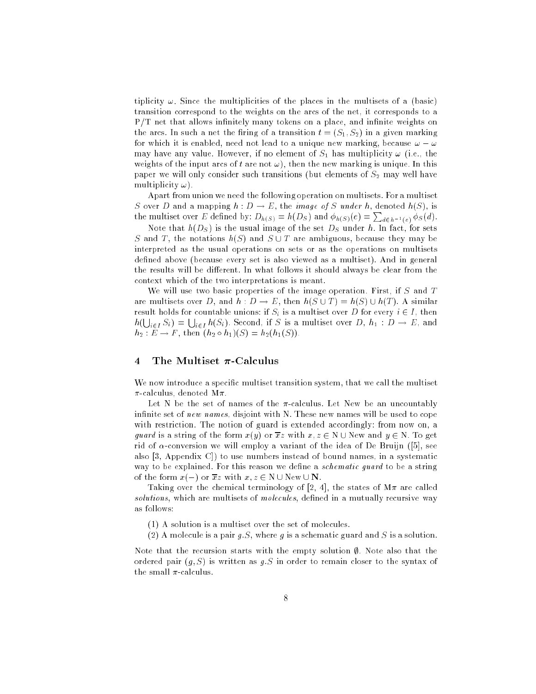tiplicity  $\omega$ . Since the multiplicities of the places in the multisets of a (basic) transition correspond to the weights on the arcs of the net, it corresponds to a  $P/T$  net that allows infinitely many tokens on a place, and infinite weights on the arcs. In such a net the firing of a transition  $t = (S_1, S_2)$  in a given marking for which it is enabled, need not lead to a unique new marking, because  $\omega - \omega$ may have any value. However, if no element of  $S_1$  has multiplicity  $\omega$  (i.e., the weights of the input arcs of t are not  $\omega$ ), then the new marking is unique. In this paper we will only consider such transitions (but elements of  $S_2$  may well have multiplicity  $\omega$ ).

Apart from union we need the following operation on multisets. For a multiset S over D and a mapping  $h: D \to E$ , the *image of* S under h, denoted  $h(S)$ , is the multiset over E defined by:  $D_{h(S)} = h(D_S)$  and  $\phi_{h(S)}(e) = \sum_{d \in h^{-1}(e)} \phi_S(d)$ .

Note that  $h(D_S)$  is the usual image of the set  $D_S$  under h. In fact, for sets S and T, the notations  $h(S)$  and  $S \cup T$  are ambiguous, because they may be interpreted as the usual operations on sets or as the operations on multisets defined above (because every set is also viewed as a multiset). And in general the results will be different. In what follows it should always be clear from the context which of the two interpretations is meant.

We will use two basic properties of the image operation. First, if  $S$  and  $T$ are multisets over D, and  $h : D \to E$ , then  $h(S \cup T) = h(S) \cup h(T)$ . A similar result holds for countable unions: if  $S_i$  is a multiset over D for every  $i \in I$ , then  $h(\bigcup_{i\in I} S_i) = \bigcup_{i\in I} h(S_i)$ . Second, if S is a multiset over D,  $h_1 : D \to E$ , and  $h_2 : E \to F$ , then  $(h_2 \circ h_1)(S) = h_2(h_1(S)).$ 

## 4 The Multiset  $\pi$ -Calculus

We now introduce a specic multiset transition system, that we call the multiset  $\pi$ -calculus, denoted M $\pi$ .

Let N be the set of names of the  $\pi$ -calculus. Let New be an uncountably infinite set of new names, disjoint with N. These new names will be used to cope with restriction. The notion of guard is extended accordingly: from now on, a quard is a string of the form  $x(y)$  or  $\overline{x}z$  with  $x, z \in N \cup N$ ew and  $y \in N$ . To get rid of  $\alpha$ -conversion we will employ a variant of the idea of De Bruijn ([5], see also [3, Appendix C]) to use numbers instead of bound names, in a systematic way to be explained. For this reason we define a *schematic guard* to be a string of the form  $x(-)$  or  $\overline{x}z$  with  $x, z \in N \cup \text{New} \cup N$ .

Taking over the chemical terminology of [2, 4], the states of  $M\pi$  are called solutions, which are multisets of molecules, defined in a mutually recursive way

- (1) A solution is a multiset over the set of molecules.
- (2) A molecule is a pair g.S, where g is a schematic guard and S is a solution.

Note that the recursion starts with the empty solution  $\emptyset$ . Note also that the ordered pair  $(g, S)$  is written as g.S in order to remain closer to the syntax of the small  $\pi$ -calculus.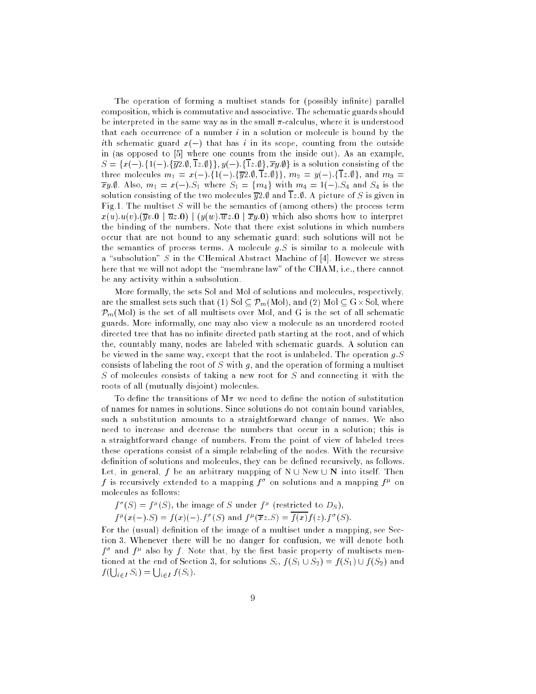The operation of forming a multiset stands for (possibly infinite) parallel composition, which is commutative and associative. The schematic guards should be interpreted in the same way as in the small  $\pi$ -calculus, where it is understood that each occurrence of a number  $i$  in a solution or molecule is bound by the ith schematic guard  $x(-)$  that has i in its scope, counting from the outside in (as opposed to [5] where one counts from the inside out). As an example,  $S = \{x(-), 1(-), \overline{y2.0}, \overline{1z.0}\}\$ ,  $y(-), \{\overline{1z.0}\}, \overline{xy.0}\}$  is a solution consisting of the three molecules  $m_1 = x(-)$ . {1(-). { $\overline{y}2.\emptyset$ ,  $\overline{1}z.\emptyset$ },  $m_2 = y(-)$ . { $\overline{1}z.\emptyset$ }, and  $m_3 =$  $\overline{x}y.\emptyset$ . Also,  $m_1 = x(-).S_1$  where  $S_1 = \{m_4\}$  with  $m_4 = 1(-).S_4$  and  $S_4$  is the solution consisting of the two molecules  $\overline{y}2.\emptyset$  and  $\overline{1}z.\emptyset$ . A picture of S is given in Fig.1. The multiset S will be the semantics of (among others) the process term  $x(u).u(v).(\overline{y}v.0 | \overline{u}z.0 | (y(w).\overline{w}z.0 | \overline{x}y.0)$  which also shows how to interpret the binding of the numbers. Note that there exist solutions in which numbers occur that are not bound to any schematic guard; such solutions will not be the semantics of process terms. A molecule  $q.S$  is similar to a molecule with a "subsolution" S in the CHemical Abstract Machine of [4]. However we stress here that we will not adopt the "membrane law" of the CHAM, i.e., there cannot be any activity within a subsolution.

More formally, the sets Sol and Mol of solutions and molecules, respectively, are the smallest such that  $\mathcal{N}(M)$  such that (2) Solid  $M$   $\mathcal{N}(M)$  and  $\mathcal{N}(M)$  $\mathcal{P}_m(\mathrm{Mol})$  is the set of all multisets over Mol, and G is the set of all schematic guards. More informally, one may also view a molecule as an unordered rooted directed tree that has no infinite directed path starting at the root, and of which the, countably many, nodes are labeled with schematic guards. A solution can be viewed in the same way, except that the root is unlabeled. The operation  $g.S$ consists of labeling the root of S with  $g$ , and the operation of forming a multiset S of molecules consists of taking a new root for  $S$  and connecting it with the roots of all (mutually disjoint) molecules.

To define the transitions of  $M\pi$  we need to define the notion of substitution of names for names in solutions. Since solutions do not contain bound variables, such a substitution amounts to a straightforward change of names. We also need to increase and decrease the numbers that occur in a solution; this is a straightforward change of numbers. From the point of view of labeled trees these operations consist of a simple relabeling of the nodes. With the recursive definition of solutions and molecules, they can be defined recursively, as follows. Let, in general, f be an arbitrary mapping of  $N \cup New \cup N$  into itself. Then  $f$  is recursively extended to a mapping  $f^*$  on solutions and a mapping  $f^*$  on molecules as follows:

 $f^*(S) = f^*(S)$ , the image of S under  $f^*$  (restricted to  $D_S$ ),

 $f''(x(-),S) = f(x)(-), f'(S)$  and  $f''(xz,S) = f(x)f(z), f'(S)$ .

For the (usual) definition of the image of a multiset under a mapping, see Section 3. Whenever there will be no danger for confusion, we will denote both  $f^*$  and  $f^*$  also by  $f$  . Note that, by the first basic property of multisets mentioned at the end of Section 3, for solutions  $S_i$ ,  $f(S_1 \cup S_2) = f(S_1) \cup f(S_2)$  and  $f(\bigcup_{i\in I} S_i) = \bigcup_{i\in I} f(S_i).$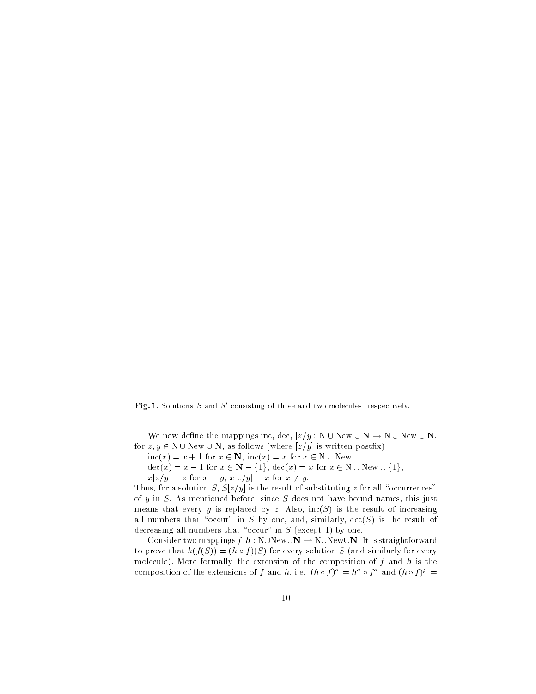Fig. 1. Solutions <sup>S</sup> and <sup>S</sup><sup>0</sup> consisting of three and two molecules, respectively.

We now define the mappings inc, dec,  $[z/y]$ : N  $\cup$  New  $\cup$  N  $\rightarrow$  N  $\cup$  New  $\cup$  N, for  $z, y \in N \cup New \cup N$ , as follows (where  $[z/y]$  is written postfix):

 $inc(x) = x + 1$  for  $x \in \mathbb{N}$ ,  $inc(x) = x$  for  $x \in \mathbb{N} \cup \text{New}$ ,

 $\operatorname{dec}(x) = x - 1$  for  $x \in \mathbb{N} - \{1\}$ ,  $\operatorname{dec}(x) = x$  for  $x \in \mathbb{N} \cup \operatorname{New} \cup \{1\}$ ,

 $x[z/y] = z$  for  $x = y$ ,  $x[z/y] = x$  for  $x \neq y$ .

Thus, for a solution S,  $S[z/y]$  is the result of substituting z for all "occurrences" of  $y$  in  $S$ . As mentioned before, since  $S$  does not have bound names, this just means that every y is replaced by z. Also,  $inc(S)$  is the result of increasing all numbers that "occur" in S by one, and, similarly,  $\text{dec}(S)$  is the result of decreasing all numbers that "occur" in  $S$  (except 1) by one.

Consider two mappings  $f, h : N \cup N$ ew $\cup N \rightarrow N \cup N$ ew $\cup N$ . It is straightforward to prove that  $h(f(S)) = (h \circ f)(S)$  for every solution S (and similarly for every molecule). More formally, the extension of the composition of  $f$  and  $h$  is the composition of the extensions of f and h, i.e.,  $(n \circ f)^* = n \circ f^*$  and  $(n \circ f)^* =$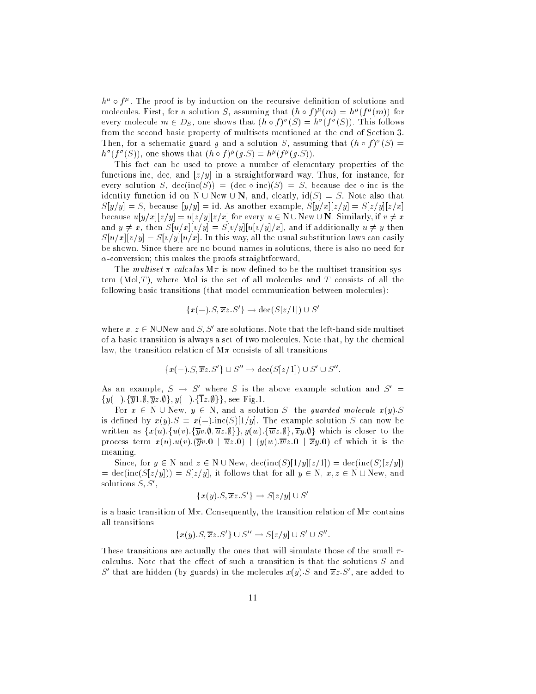$n^{\mu}$  o  $f^{\mu}$  . The proof is by induction on the recursive definition of solutions and molecules. First, for a solution  $S$ , assuming that  $(n \circ f)^{n}(m) = n^{n}(f^{n}(m))$  for every molecule  $m \in D_S$  , one shows that  $(n \circ f)^+(S) = n^+(f^+(S))$ . This follows from the second basic property of multisets mentioned at the end of Section 3. Then, for a schematic guard g and a solution  $\beta$ , assuming that  $(n \circ f)^+ (\beta) =$  $h^+(f^-(S))$ , one shows that  $(h \circ f)^-(g.S) = h^-(f^-(g.S))$ .

This fact can be used to prove a number of elementary properties of the functions inc, dec, and  $[z/y]$  in a straightforward way. Thus, for instance, for every solution S,  $\text{dec}(inc(S)) = (\text{dec } o inc)(S) = S$ , because dec  $o inc$  is the identity function id on N  $\cup$  New  $\cup$  N, and, clearly, id(S) = S. Note also that  $S[y/y] = S$ , because  $[y/y] = id$ . As another example,  $S[y/x][z/y] = S[z/y][z/x]$ because  $u[y/x][z/y] = u[z/y][z/x]$  for every  $u \in N \cup N$ ew  $\cup N$ . Similarly, if  $v \neq x$ and  $y \neq x$ , then  $S[u/x][v/y] = S[v/y][u[v/y]/x]$ , and if additionally  $u \neq y$  then  $S[u/x][v/y] = S[v/y][u/x]$ . In this way, all the usual substitution laws can easily be shown. Since there are no bound names in solutions, there is also no need for  $\alpha$ -conversion; this makes the proofs straightforward.

The *multiset*  $\pi$ -calculus  $M\pi$  is now defined to be the multiset transition system  $(Mol,T)$ , where Mol is the set of all molecules and T consists of all the following basic transitions (that model communication between molecules):

$$
\{x(-).S,\overline{x}z.S'\} \to \text{dec}(S[z/1]) \cup S'
$$

where  $x, z \in N$ UNEW and  $S, S$  are solutions. Note that the left-hand side multiset of a basic transition is always a set of two molecules. Note that, by the chemical law, the transition relation of  $M\pi$  consists of all transitions

$$
\{x(-).S,\overline{x}z.S'\} \cup S'' \to \text{dec}(S[z/1]) \cup S' \cup S''.
$$

As an example,  $S \rightarrow S$  where S is the above example solution and  $S^{\dagger}$  $\{y(-), \{\overline{y}_1\ldots\emptyset, \overline{y}_z\ldots\emptyset\}, y(-), \{\overline{1}z\ldots\emptyset\}\}\}\,$ , see Fig. 1.

For  $x \in N \cup New$ ,  $y \in N$ , and a solution S, the guarded molecule  $x(y).S$ is defined by  $x(y)$ .  $S = x(-)$ . inc(S)[1/y]. The example solution S can now be written as  $\{x(u), \{u(v), \overline{y}v.\emptyset, \overline{u}z.\emptyset\}\}$ ,  $y(w), \{\overline{w}z.\emptyset\}$ ,  $\overline{x}y.\emptyset\}$  which is closer to the process term  $x(u)u(v)$ .  $\overline{y}v.0$   $\overline{u}z.0$  j  $(y(w).\overline{w}z.0 \overline{w}y.0)$  of which it is the meaning.

Since, for  $y \in N$  and  $z \in N \cup New$ , dec(inc(S)[1/y][z/1]) = dec(inc(S)[z/y])  $=$  dec(inc(S[z/y])) = S[z/y], it follows that for all  $y \in N$ ,  $x, z \in N \cup New$ , and solutions  $\mathcal{S}, \mathcal{S}$  ,

$$
\{x(y).S, \overline{x}z.S'\} \to S[z/y] \cup S'
$$

is a basic transition of  $M\pi$ . Consequently, the transition relation of  $M\pi$  contains all transitions

$$
\{x(y) \cdot S, \overline{x}z \cdot S' \} \cup S'' \rightarrow S[z/y] \cup S' \cup S''
$$

These transitions are actually the ones that will simulate those of the small  $\pi$ calculus. Note that the effect of such a transition is that the solutions  $S$  and S and are model (by guards) in the molecules  $x(y)$ . S and  $xz$ . S , are added to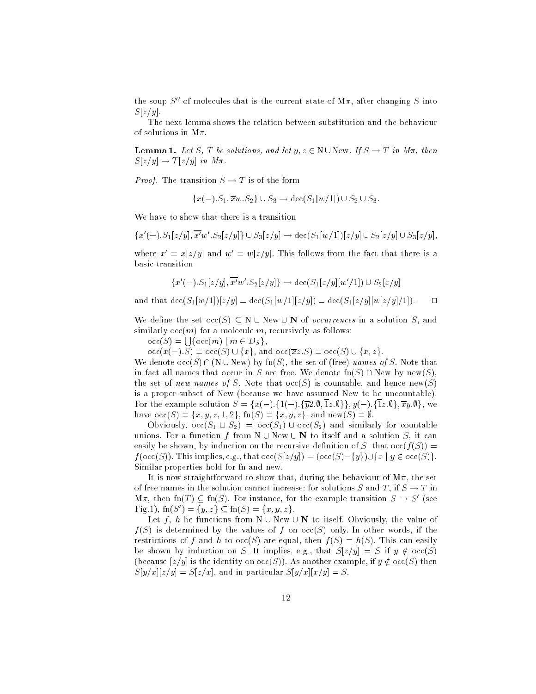the soup  $S''$  of molecules that is the current state of  $M\pi$ , after changing S into  $S[z/y]$ .

The next lemma shows the relation between substitution and the behaviour of solutions in  $M\pi$ .

**Lemma 1.** Let S, T be solutions, and let  $y, z \in N \cup New$ . If  $S \rightarrow T$  in  $M\pi$ , then  $S[z/y] \rightarrow T[z/y]$  in  $M\pi$ .

*Proof.* The transition  $S \to T$  is of the form

 $\{x(-).S_1,\overline{x}w.S_2\} \cup S_3 \to \text{dec}(S_1[w/1]) \cup S_2 \cup S_3.$ 

We have to show that there is a transition

$$
\{x'(-).S_1[z/y], \overline{x'}w'.S_2[z/y]\} \cup S_3[z/y] \to \text{dec}(S_1[w/1])[z/y] \cup S_2[z/y] \cup S_3[z/y],
$$

where  $x' = x[z/y]$  and  $w' = w[z/y]$ . This follows from the fact that there is a basic transition

$$
\{x'(-).S_1[z/y], \overline{x'}w'.S_2[z/y]\} \rightarrow \text{dec}(S_1[z/y][w'/1]) \cup S_2[z/y]
$$

and that  $\det(S_1[w/1])[z/y] = \det(S_1[w/1][z/y]) = \det(S_1[z/y][w[z/y]/1])$ .  $\Box$ 

We define the set  $\mathrm{occ}(S) \subseteq N \cup \mathrm{New} \cup N$  of *occurrences* in a solution S, and similarly  $occ(m)$  for a molecule m, recursively as follows:

 $\operatorname{occ}(S) = \cup \{ \operatorname{occ}(m) \mid m \in D_S \},\$ 

 $occ(x(-).S) = occ(S) \cup \{x\},$  and  $occ(\overline{x}z.S) = occ(S) \cup \{x,z\}.$ 

We denote  $\operatorname{occ}(S) \cap (N \cup New)$  by fn(S), the set of (free) names of S. Note that in fact all names that occur in S are free. We denote  $fn(S) \cap New$  by new(S), the set of new names of S. Note that  $\operatorname{occ}(S)$  is countable, and hence  $\operatorname{new}(S)$ is a proper subset of New (because we have assumed New to be uncountable). For the example solution  $S = \{x(-)\}\{1(-)\}\{\overline{y2\}\,\emptyset\}\,\overline{1z\}\,\emptyset\}\,\overline{y}(\cdot)$ .  $\{\overline{1z\}\,\emptyset\}\,\overline{xy\}\,\emptyset\}$ , we have  $\mathrm{occ}(S) = \{x, y, z, 1, 2\}, \mathrm{fn}(S) = \{x, y, z\}, \mathrm{and} \ \mathrm{new}(S) = \emptyset.$ 

Obviously,  $\mathrm{occ}(S_1 \cup S_2) = \mathrm{occ}(S_1) \cup \mathrm{occ}(S_2)$  and similarly for countable unions. For a function f from  $N \cup New \cup N$  to itself and a solution S, it can easily be shown, by induction on the recursive definition of S, that  $\operatorname{occ}(f(S)) =$  $f(\operatorname{occ}(S))$ . This implies, e.g., that  $\operatorname{occ}(S[z/y]) = (\operatorname{occ}(S)-\{y\})\cup\{z\mid y\in \operatorname{occ}(S)\}.$ Similar properties hold for fn and new.

It is now straightforward to show that, during the behaviour of  $M\pi$ , the set of free names in the solution cannot increase: for solutions S and T, if  $S \to T$  in  $M\pi$ , then  $\text{Im}(T) \subseteq \text{Im}(S)$ . For instance, for the example transition  $S \to S^0$  (see  $\Gamma$  ig. 1),  $\text{Im}(S)$   $\Gamma = \{y, z\}$   $\subset$   $\text{Im}(S) = \{x, y, z\}$ .

Let f, h be functions from N  $\cup$  New  $\cup$  N to itself. Obviously, the value of  $f(S)$  is determined by the values of f on  $\operatorname{occ}(S)$  only. In other words, if the restrictions of f and h to  $\operatorname{occ}(S)$  are equal, then  $f(S) = h(S)$ . This can easily be shown by induction on S. It implies, e.g., that  $S[z/y] = S$  if  $y \notin \text{occ}(S)$ (because  $[z/y]$  is the identity on  $\operatorname{occ}(S)$ ). As another example, if  $y \notin \operatorname{occ}(S)$  then  $S[y/x][z/y] = S[z/x]$ , and in particular  $S[y/x][x/y] = S$ .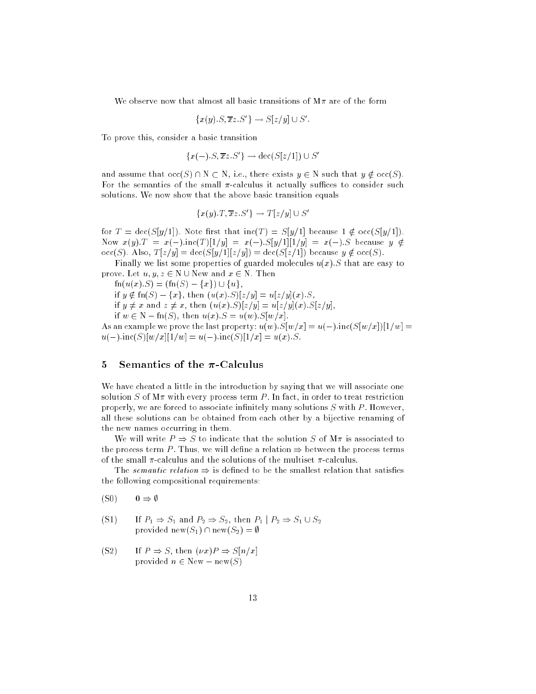We observe now that almost all basic transitions of  $M\pi$  are of the form

$$
\{x(y).S,\overline{x}z.S'\}\to S[z/y]\cup S'.
$$

To prove this, consider a basic transition

$$
\{x(-).S,\overline{x}z.S'\} \to \text{dec}(S[z/1]) \cup S'
$$

and assume that  $\mathrm{occ}(S) \cap N \subset N$ , i.e., there exists  $y \in N$  such that  $y \notin \mathrm{occ}(S)$ . For the semantics of the small  $\pi$ -calculus it actually suffices to consider such solutions. We now show that the above basic transition equals

$$
\{x(y).T,\overline{x}z.S'\} \to T[z/y] \cup S'
$$

for  $T = \text{dec}(S[y/1])$ . Note first that  $\text{inc}(T) = S[y/1]$  because  $1 \notin \text{occ}(S[y/1])$ . Now  $x(y)$ :  $T = x(-)$ :inc(T)[1/y] =  $x(-)$ :S[y/1][1/y] =  $x(-)$ :S because  $y \notin$  $\operatorname{occ}(S)$ . Also,  $T[z/y] = \operatorname{dec}(S[y/1][z/y]) = \operatorname{dec}(S[z/1])$  because  $y \notin \operatorname{occ}(S)$ .

Finally we list some properties of guarded molecules  $u(x)$ . S that are easy to prove. Let  $u, y, z \in N \cup \text{New and } x \in N$ . Then

 $fn(u(x).S) = (fn(S) - \{x\}) \cup \{u\},\$ 

if  $y \notin \text{fn}(S) = \{x\}$ , then  $(u(x).S)[z/y] = u[z/y](x).S$ ,

if 
$$
y \neq x
$$
 and  $z \neq x$ , then  $(u(x).S)[z/y] = u[z/y](x).S[z/y]$ ,

if  $w \in N - \text{fn}(S)$ , then  $u(x).S = u(w).S[w/x]$ .

As an example we prove the last property:  $u(w).S[w/x] = u(-).inc(S[w/x])[1/w] =$  $u(-)\operatorname{inc}(S)[w/x][1/w] = u(-)\operatorname{inc}(S)[1/x] = u(x).S.$ 

#### 5 Semantics of the  $\pi$ -Calculus

We have cheated a little in the introduction by saying that we will associate one solution S of  $M\pi$  with every process term P. In fact, in order to treat restriction properly, we are forced to associate infinitely many solutions  $S$  with  $P$ . However, all these solutions can be obtained from each other by a bijective renaming of the new names occurring in them.

We will write  $P \Rightarrow S$  to indicate that the solution S of M $\pi$  is associated to the process term P. Thus, we will define a relation  $\Rightarrow$  between the process terms of the small  $\pi$ -calculus and the solutions of the multiset  $\pi$ -calculus.

The *semantic relation*  $\Rightarrow$  is defined to be the smallest relation that satisfies the following compositional requirements:

 $(S0) \qquad 0 \Rightarrow \emptyset$ 

(S1) If 
$$
P_1 \Rightarrow S_1
$$
 and  $P_2 \Rightarrow S_2$ , then  $P_1 | P_2 \Rightarrow S_1 \cup S_2$   
provided new $(S_1) \cap \text{new}(S_2) = \emptyset$ 

(S2) If  $P \Rightarrow S$ , then  $(\nu x)P \Rightarrow S[n/x]$ provided  $n \in \text{New} - \text{new}(S)$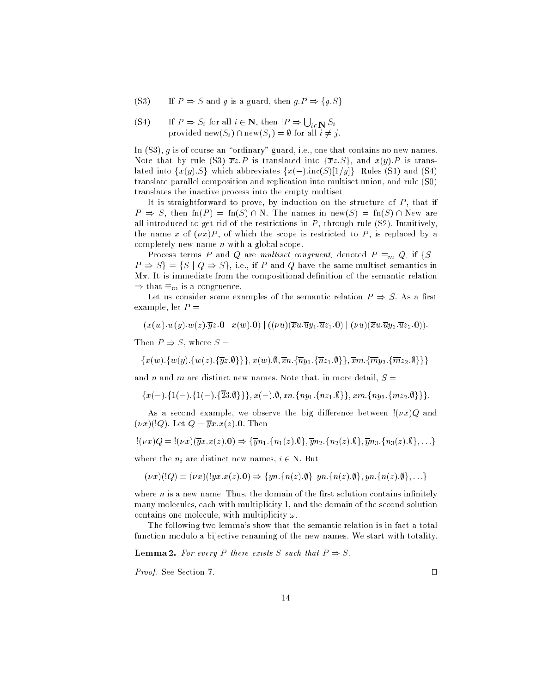(S3) If  $P \Rightarrow S$  and g is a guard, then  $g.P \Rightarrow \{g.S\}$ 

(S4) If 
$$
P \Rightarrow S_i
$$
 for all  $i \in \mathbb{N}$ , then  $!P \Rightarrow \bigcup_{i \in \mathbb{N}} S_i$   
provided  $\text{new}(S_i) \cap \text{new}(S_i) = \emptyset$  for all  $i \neq j$ .

In  $(S3)$ , g is of course an "ordinary" guard, i.e., one that contains no new names. Note that by rule (S3)  $\overline{x}z.P$  is translated into  $\{\overline{x}z.S\}$ , and  $x(y).P$  is translated into  $\{x(y),S\}$  which abbreviates  $\{x(-):\text{inc}(S)[1/y]\}$ . Rules (S1) and (S4) translate parallel composition and replication into multiset union, and rule (S0) translates the inactive process into the empty multiset.

It is straightforward to prove, by induction on the structure of  $P$ , that if  $P \Rightarrow S$ , then fn(P) = fn(S) \ N. The names in new(S) = fn(S) \ New are all introduced to get rid of the restrictions in  $P$ , through rule  $(S2)$ . Intuitively, the name x of  $(\nu x)P$ , of which the scope is restricted to P, is replaced by a completely new name n with a global scope.

Process terms P and Q are multiset congruent, denoted  $P \equiv_m Q$ , if  $\{S \mid S\}$  $P \Rightarrow S$  = {S | Q  $\Rightarrow$  S}, i.e., if P and Q have the same multiset semantics in  $M\pi$ . It is immediate from the compositional definition of the semantic relation  $\Rightarrow$  that  $\equiv_m$  is a congruence.

Let us consider some examples of the semantic relation  $P \Rightarrow S$ . As a first example, let  $P =$ 

$$
(x(w).w(y).w(z).\overline{y}z.0\mid x(w).0)\mid ((\nu u)(\overline{x}u.\overline{u}y_1.\overline{u}z_1.0)\mid (\nu u)(\overline{x}u.\overline{u}y_2.\overline{u}z_2.0)).
$$

Then  $P \Rightarrow S$ , where  $S =$ 

$$
\{x(w), \{w(y), \{w(z), \{\overline{y}z.\emptyset\}\}\}, x(w).\emptyset, \overline{x}n. \{\overline{ny}_1. \{\overline{n}z_1.\emptyset\}\}, \overline{x}m. \{\overline{m}y_2. \{\overline{m}z_2.\emptyset\}\}\},
$$

and n and m are distinct new names. Note that, in more detail,  $S =$ 

$$
\left\{x(-).\left\{1(-).\left\{1(-).\left\{\overline{23}.\emptyset\right\}\right\}\right\},x(-).\emptyset,\overline{x}n.\left\{\overline{n}y_1.\left\{\overline{n}z_1.\emptyset\right\}\right\},\overline{x}m.\left\{\overline{n}y_2.\left\{\overline{m}z_2.\emptyset\right\}\right\}\right\}.
$$

As a second example, we observe the big difference between  $\sqrt{(v x)}Q$  and  $(\nu x)(Q)$ . Let  $Q = \overline{y}x.x(z)$ . Then

$$
!(\nu x)Q = {(\nu x)(\overline{y}x.x(z).0)} \Rightarrow {\overline{y}n_1.\{n_1(z).0\}}, \overline{y}n_2.\{n_2(z).0\}, \overline{y}n_3.\{n_3(z).0\}, \ldots)
$$

where the  $n_i$  are distinct new names,  $i \in N$ . But

$$
(\nu x)(!Q) = (\nu x)(!\overline{y}x.x(z).0) \Rightarrow {\overline{y}n}.{n(z).0}, \overline{y}n.{n(z).0}, \overline{y}n.{n(z).0}, \ldots)
$$

where  $n$  is a new name. Thus, the domain of the first solution contains infinitely many molecules, each with multiplicity 1, and the domain of the second solution contains one molecule, with multiplicity  $\omega$ .

The following two lemma's show that the semantic relation is in fact a total function modulo a bijective renaming of the new names. We start with totality.

**Lemma 2.** For every P there exists S such that  $P \Rightarrow S$ .

*Proof.* See Section 7.  $\Box$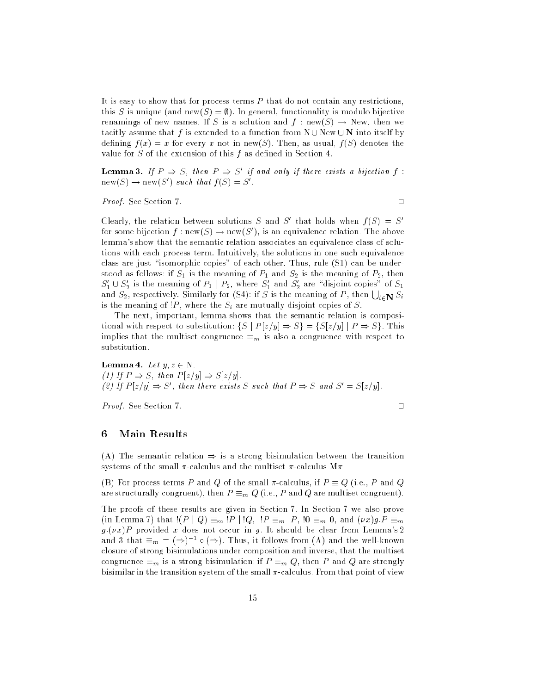It is easy to show that for process terms  $P$  that do not contain any restrictions, this S is unique (and new(S) =  $\emptyset$ ). In general, functionality is modulo bijective renamings of new names. If S is a solution and  $f : new(S) \rightarrow New$ , then we tacitly assume that f is extended to a function from  $N \cup N$ ew  $\cup N$  into itself by defining  $f(x) = x$  for every x not in new(S). Then, as usual,  $f(S)$  denotes the value for  $S$  of the extension of this  $f$  as defined in Section 4.

**Lemma 3.** If  $P \Rightarrow S$ , then  $P \Rightarrow S$  if and only if there exists a bijection f:  ${\rm new}(\mathcal{S}) \to {\rm new}(\mathcal{S})$  ) such that  $f(\mathcal{S}) = \mathcal{S}$  .

*Proof.* See Section 7.  $\Box$ 

Clearly, the relation between solutions  $S$  and  $S$  that holds when  $f(S) = S$ for some bijection  $f: {\rm new}(S) \to {\rm new}(S)$  , is an equivalence relation. The above lemma's show that the semantic relation associates an equivalence class of solutions with each process term. Intuitively, the solutions in one such equivalence class are just "isomorphic copies" of each other. Thus, rule  $(S1)$  can be understood as follows: if  $S_1$  is the meaning of  $P_1$  and  $S_2$  is the meaning of  $P_2$ , then  $S_1 \cup S_2$  is the meaning of  $F_1 \mid F_2$ , where  $S_1$  and  $S_2$  are ansform copies of  $S_1$ and  $S_2$ , respectively. Similarly for (S4): if  $S$  is the meaning of  $P$ , then  $\bigcup_{i\in \mathbf{N}}S_i$ is the meaning of  $P$ , where the  $S_i$  are mutually disjoint copies of S.

The next, important, lemma shows that the semantic relation is compositional with respect to substitution:  $\{S \mid P[z/y] \Rightarrow S\} = \{S[z/y] \mid P \Rightarrow S\}$ . This implies that the multiset congruence  $\equiv_m$  is also a congruence with respect to substitution.

**Lemma 4.** Let  $y, z \in N$ . (1) If  $P \Rightarrow S$ , then  $P[z/y] \Rightarrow S[z/y]$ . (2) If P [z=y] ) S<sup>0</sup> , then there exists S such that P ) S and S<sup>0</sup> = S[z=y].

*Proof.* See Section 7.

## <sup>6</sup> Main Results

(A) The semantic relation  $\Rightarrow$  is a strong bisimulation between the transition systems of the small  $\pi$ -calculus and the multiset  $\pi$ -calculus M $\pi$ .

(B) For process terms P and Q of the small  $\pi$ -calculus, if  $P \equiv Q$  (i.e., P and Q are structurally congruent), then  $P \equiv_m Q$  (i.e., P and Q are multiset congruent).

The proofs of these results are given in Section 7. In Section 7 we also prove (in Lemma 7) that  $!(P \mid Q) \equiv_m !P \mid !Q$ ,  $!!P \equiv_m !P$ ,  $!0 \equiv_m 0$ , and  $(\nu x)g.P \equiv_m 0$  $g(\nu x)P$  provided x does not occur in g. It should be clear from Lemma's 2 and 3 that  $\equiv_m \; = \; (\Rightarrow)$  10 ( $\Rightarrow$  ). Thus, it follows from (A) and the well-known closure of strong bisimulations under composition and inverse, that the multiset congruence  $\equiv_m$  is a strong bisimulation: if  $P \equiv_m Q$ , then P and Q are strongly bisimilar in the transition system of the small  $\pi$ -calculus. From that point of view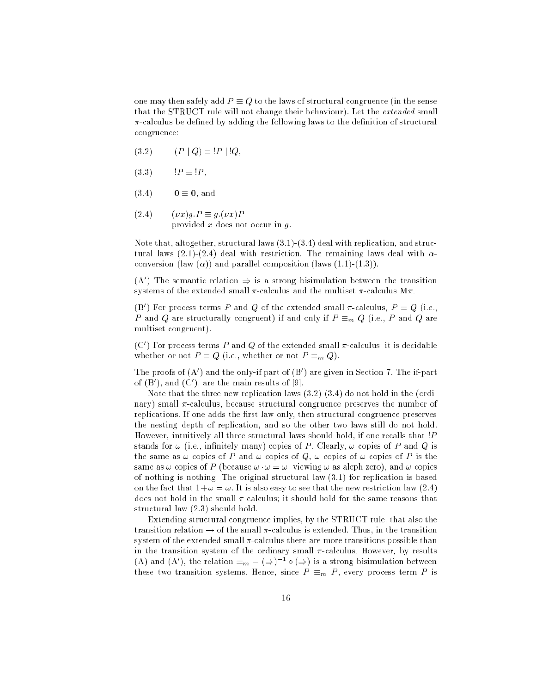one may then safely add  $P \equiv Q$  to the laws of structural congruence (in the sense that the STRUCT rule will not change their behaviour). Let the extended small  $\pi$ -calculus be defined by adding the following laws to the definition of structural congruence:

- $(3.2)$   $|(P | Q) \equiv |P | |Q,$
- $(3.3)$   $1!P \equiv 1P$ ,
- $(3.4)$   $10 \equiv 0$ , and
- $(2.4)$   $(\nu x)g.P \equiv g.(\nu x)P$ provided  $x$  does not occur in  $g$ .

Note that, altogether, structural laws  $(3.1)-(3.4)$  deal with replication, and structural laws (2.1)-(2.4) deal with restriction. The remaining laws deal with  $\alpha$ conversion (law  $(\alpha)$ ) and parallel composition (laws  $(1.1)-(1.3)$ ).

 $(A_+)$  the semantic relation  $\Rightarrow$  is a strong bisimulation between the transition systems of the extended small  $\pi$ -calculus and the multiset  $\pi$ -calculus M $\pi$ .

(B) For process terms P and Q of the extended small  $\pi$ -calculus,  $P = Q$  (i.e., P and Q are structurally congruent) if and only if  $P \equiv_m Q$  (i.e., P and Q are multiset congruent).

(C) for process terms  $P$  and  $Q$  of the extended small  $\pi$ -calculus, it is decidable whether or not  $P \equiv Q$  (i.e., whether or not  $P \equiv_m Q$ ).

The proofs of (A<sup>0</sup> ) and the only-if part of (B<sup>0</sup> ) are given in Section 7. The if-part of (b), and (C), are the main results of  $\varphi$ .

Note that the three new replication laws (3.2)-(3.4) do not hold in the (ordinary) small  $\pi$ -calculus, because structural congruence preserves the number of replications. If one adds the first law only, then structural congruence preserves the nesting depth of replication, and so the other two laws still do not hold. However, intuitively all three structural laws should hold, if one recalls that !P stands for  $\omega$  (i.e., infinitely many) copies of P. Clearly,  $\omega$  copies of P and Q is the same as  $\omega$  copies of P and  $\omega$  copies of Q,  $\omega$  copies of  $\omega$  copies of P is the same as  $\omega$  copies of P (because  $\omega \cdot \omega = \omega$ , viewing  $\omega$  as aleph zero), and  $\omega$  copies of nothing is nothing. The original structural law (3.1) for replication is based on the fact that  $1+\omega = \omega$ . It is also easy to see that the new restriction law (2.4) does not hold in the small  $\pi$ -calculus; it should hold for the same reasons that structural law (2.3) should hold.

Extending structural congruence implies, by the STRUCT rule, that also the transition relation  $\rightarrow$  of the small  $\pi$ -calculus is extended. Thus, in the transition system of the extended small  $\pi$ -calculus there are more transitions possible than in the transition system of the ordinary small  $\pi$ -calculus. However, by results (A) and (A), the relation  $\equiv_m \equiv (\Rightarrow)$  10 ( $\Rightarrow$ ) is a strong bisimulation between these two transition systems. Hence, since  $P \equiv_m P$ , every process term P is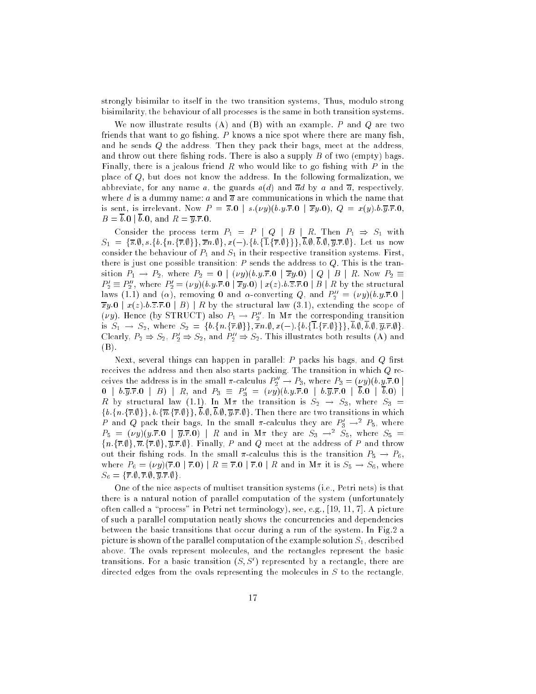strongly bisimilar to itself in the two transition systems. Thus, modulo strong bisimilarity, the behaviour of all processes is the same in both transition systems.

We now illustrate results  $(A)$  and  $(B)$  with an example. P and Q are two friends that want to go fishing.  $P$  knows a nice spot where there are many fish, and he sends Q the address. Then they pack their bags, meet at the address, and throw out there fishing rods. There is also a supply  $B$  of two (empty) bags. Finally, there is a jealous friend R who would like to go fishing with P in the place of Q, but does not know the address. In the following formalization, we abbreviate, for any name a, the guards  $a(d)$  and  $\overline{a}d$  by a and  $\overline{a}$ , respectively, where d is a dummy name: a and  $\overline{a}$  are communications in which the name that is sent, is irrelevant. Now  $P = \overline{s} \cdot 0$  |  $s.(vy)(b.y.\overline{r} \cdot 0 \vert \overline{xy} \cdot 0), Q = x(y) \cdot b.\overline{y} \cdot \overline{r} \cdot 0$ ,  $B = \overline{b} \cdot \overline{0}$  |  $\overline{b} \cdot \overline{0}$ , and  $R = \overline{y} \cdot \overline{r} \cdot \overline{0}$ .

Consider the process term  $P_1 = P | Q | B | R$ . Then  $P_1 \Rightarrow S_1$  with  $S_1 = \{\overline{s}, \emptyset, s.\{b.\{n.\{\overline{r}, \emptyset\}\}\}, \overline{x}n.\emptyset\}, x(-), \{b.\{\overline{1}, \{\overline{r}, \emptyset\}\}\}, \overline{b}.\emptyset, \overline{b}.\emptyset, \overline{y}.\overline{r}.\emptyset\}.$  Let us now consider the behaviour of  $P_1$  and  $S_1$  in their respective transition systems. First, there is just one possible transition:  $P$  sends the address to  $Q$ . This is the transition  $P_1 \rightarrow P_2$ , where  $P_2 = 0 \mid (vy)(b.y.\overline{r}.0 \mid \overline{x}y.0) \mid Q \mid B \mid R$ . Now  $P_2 \equiv$  $P_2 \equiv P_2$  , where  $P_2 \equiv (\nu y)(\textit{0.y.r.0} \mid x y . \textbf{0}) \mid x(z) . \textit{0.z.r.0} \mid B \mid R$  by the structural raws (1.1) and ( $\alpha$ ), removing **0** and  $\alpha$ -converting  $Q$ , and  $F_2 = (\nu y)(b.y.r.o.$  $\overline{xy.0}$  |  $x(z).b.\overline{z.}$   $\overline{x.0}$  | B) | R by the structural law (3.1), extending the scope of (*vy*). Hence (by  $\sigma$ 1 KOCT) also  $P_1 \rightarrow P_2$ . In M*a* the corresponding transition is  $S_1 \rightarrow S_2$ , where  $S_2 = \{b.\{n.\{\overline{r}.\emptyset\}\}\}\overline{x}n.\emptyset, x(-).\{b.\{\overline{1}.\{\overline{r}.\emptyset\}\}\}\overline{b}.\emptyset, \overline{b}.\emptyset, \overline{y}.\overline{r}.\emptyset\}$ . Clearly,  $F_2 \Rightarrow S_2, F_2 \Rightarrow S_2$ , and  $F_2 \Rightarrow S_2$ . This illustrates both results (A) and (B).

Next, several things can happen in parallel:  $P$  packs his bags, and  $Q$  first receives the address and then also starts packing. The transition in which Q receives the address is in the small  $\pi$ -calculus  $P_2 \to P_3$ , where  $P_3 = (py)(b.y.r.0 \mid b \cdot \overline{y}.r.0 \mid b \cdot \overline{y}.r.0 \mid B \mid B$ , and  $P_3 \equiv P'_3 = (\nu y)(b.y.\overline{r}.0 \mid b \cdot \overline{y}.r.0 \mid \overline{b}.0 \mid \overline{b}.0) \mid B$ Reading the transition of the transition is structured in  $\omega_{A}$  . When the same  $\omega_{B}$  $\{b.\{n.\{\overline{r}.\emptyset\}\}, b.\{\overline{n}.\{\overline{r}.\emptyset\}\}, \overline{b}.\emptyset, \overline{b}.\emptyset, \overline{y}.\overline{r}.\emptyset\}$ . Then there are two transitions in which  $P$  and  $Q$  pack their bags. In the small  $\pi$ -calculus they are  $P_3 \rightarrow^+ P_5,$  where  $P_5 = ( \nu y)(y.r.$ u |  $y.r.$ u) |  $R$  and in M $\pi$  they are  $S_3 \rightarrow^- S_5$ , where  $S_5 =$  ${n.\{\overline{r},\emptyset\},\overline{n}.\{\overline{r},\emptyset\},\overline{y}.\overline{r}.\emptyset\}}.$  Finally, P and Q meet at the address of P and throw out their fishing rods. In the small  $\pi$ -calculus this is the transition  $P_5 \rightarrow P_6$ , where  $P_6 = (\nu y)(\overline{r.0} \mid \overline{r.0}) \mid R \equiv \overline{r.0} \mid \overline{r.0} \mid R$  and in  $M\pi$  it is  $S_5 \to S_6$ , where  $S_6 = \{ \overline{r}. \emptyset, \overline{r}. \emptyset, \overline{y}. \overline{r}. \emptyset \}.$ 

One of the nice aspects of multiset transition systems (i.e., Petri nets) is that there is a natural notion of parallel computation of the system (unfortunately often called a "process" in Petri net terminology), see, e.g.,  $[19, 11, 7]$ . A picture of such a parallel computation neatly shows the concurrencies and dependencies between the basic transitions that occur during a run of the system. In Fig.2 a picture is shown of the parallel computation of the example solution  $S_1$ , described above. The ovals represent molecules, and the rectangles represent the basic transitions. For a basic transition (S; S<sup>0</sup> ) represented by a rectangle, there are directed edges from the ovals representing the molecules in S to the rectangle,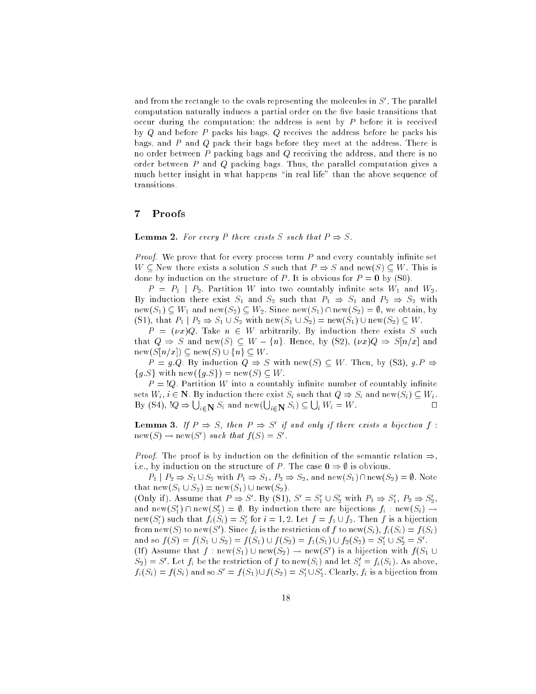and from the rectangle to the ovals representing the molecules in  $S$  . The parallel computation naturally induces a partial order on the five basic transitions that occur during the computation: the address is sent by P before it is received by Q and before P packs his bags, Q receives the address before he packs his bags, and P and Q pack their bags before they meet at the address. There is no order between P packing bags and Q receiving the address, and there is no order between P and Q packing bags. Thus, the parallel computation gives a much better insight in what happens "in real life" than the above sequence of transitions.

## <sup>7</sup> Proofs

**Lemma 2.** For every P there exists S such that  $P \Rightarrow S$ .

*Proof.* We prove that for every process term  $P$  and every countably infinite set  $W \subseteq$  New there exists a solution S such that  $P \Rightarrow S$  and new(S)  $\subseteq W$ . This is done by induction on the structure of P. It is obvious for  $P = 0$  by (S0).

 $P = P_1 \mid P_2$ . Partition W into two countably infinite sets  $W_1$  and  $W_2$ . By induction there exist  $S_1$  and  $S_2$  such that  $P_1 \Rightarrow S_1$  and  $P_2 \Rightarrow S_2$  with  $new(S_1) \subseteq W_1$  and  $new(S_2) \subseteq W_2$ . Since  $new(S_1) \cap new(S_2) = \emptyset$ , we obtain, by (S1), that  $P_1 | P_2 \Rightarrow S_1 \cup S_2$  with  $\text{new}(S_1 \cup S_2) = \text{new}(S_1) \cup \text{new}(S_2) \subseteq W$ .

 $P = (vx)Q$ . Take  $n \in W$  arbitrarily. By induction there exists S such that  $Q \Rightarrow S$  and new(S)  $\subseteq W - \{n\}$ . Hence, by (S2),  $(\nu x)Q \Rightarrow S[n/x]$  and  $new(S[n/x]) \subseteq new(S) \cup \{n\} \subseteq W$ .

 $P = g.Q$ . By induction  $Q \Rightarrow S$  with new(S)  $\subseteq W$ . Then, by (S3),  $g.P \Rightarrow$  ${g.S}$  with new( ${g.S}$ ) = new(S)  $\subseteq$  W.

 $P = \mathcal{Q}$ . Partition W into a countably infinite number of countably infinite sets  $W_i$ ,  $i \in \mathbb{N}$ . By induction there exist  $S_i$  such that  $Q \Rightarrow S_i$  and new $(S_i) \subseteq W_i$ . By (S4),  $!Q \Rightarrow \bigcup_{i \in \mathbb{N}} S_i$  and new $(\bigcup_{i \in \mathbb{N}} S_i) \subseteq \bigcup_i W_i = W$ .  $\Box$ 

**Lemma 3.** If  $P \Rightarrow S$ , then  $P \Rightarrow S$  if and only if there exists a bijection f:  $new(\mathcal{S}) \rightarrow new(\mathcal{S})$  is such that  $f(\mathcal{S}) = \mathcal{S}$ .

*Proof.* The proof is by induction on the definition of the semantic relation  $\Rightarrow$ , i.e., by induction on the structure of P. The case  $0 \Rightarrow \emptyset$  is obvious.

 $P_1 | P_2 \Rightarrow S_1 \cup S_2$  with  $P_1 \Rightarrow S_1, P_2 \Rightarrow S_2$ , and new $(S_1) \cap \text{new}(S_2) = \emptyset$ . Note that  $\text{new}(S_1 \cup S_2) = \text{new}(S_1) \cup \text{new}(S_2)$ .

(Only ii). Assume that  $P \Rightarrow S$ . By (S1),  $S = S_1 \cup S_2$  with  $P_1 \Rightarrow S_1$ ,  $P_2 \Rightarrow S_2$ , and new( $S_1$ )  $\cap$  new( $S_2$ ) =  $\psi$ . By induction there are bijections  $f_i$ : new( $S_i$ )  $\rightarrow$ new( $S_i$ ) such that  $f_i(S_i) = S_i$  for  $i = 1, 2$ . Let  $f = f_1 \cup f_2$ . Then f is a bijection from new(S) to new(S). Since  $f_i$  is the restriction of f to new(S<sub>i</sub>),  $f_i(S_i) = f(S_i)$ and so  $f(S) = f(S_1 \cup S_2) = f(S_1) \cup f(S_2) = f_1(S_1) \cup f_2(S_2) = S_1 \cup S_2 = S$ . (ii) Assume that  $f : {\rm new}(\beta_1) \cup {\rm new}(\beta_2) \rightarrow {\rm new}(\beta_1)$  is a bijection with  $f(\beta_1 \cup$  $S_2$ ) = S. Let  $f_i$  be the restriction of f to new( $S_i$ ) and let  $S_i = f_i(S_i)$ . As above,  $f_i(\mathcal{S}_i) \equiv f(\mathcal{S}_i)$  and so  $\mathcal{S} = f(\mathcal{S}_1) \cup f(\mathcal{S}_2) = \mathcal{S}_1 \cup \mathcal{S}_2$ . Clearly,  $f_i$  is a bijection from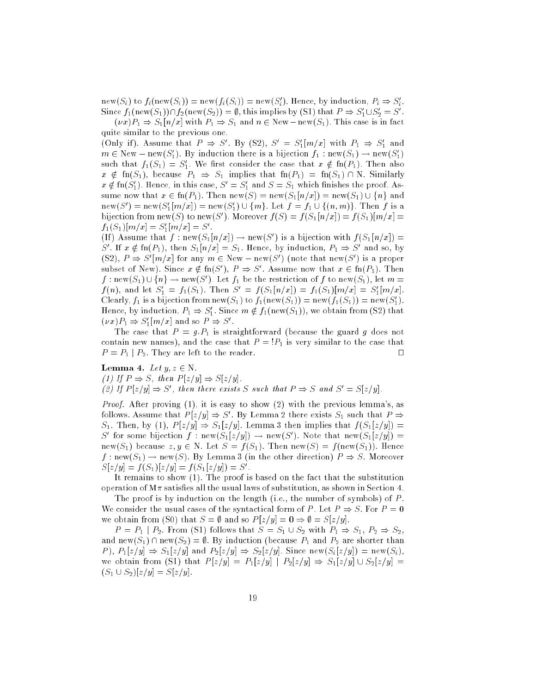$\text{new}(S_i)$  to  $f_i(\text{new}(S_i)) = \text{new}(f_i(S_i)) = \text{new}(S_i)$ . Hence, by induction,  $P_i \Rightarrow S_i$ . Since  $f_1(\text{new}(S_1)) \sqcup f_2(\text{new}(S_2)) = \emptyset$ , this implies by (S1) that  $P \Rightarrow S_1 \cup S_2 = S$ .

 $(\nu x)P_1 \Rightarrow S_1[n/x]$  with  $P_1 \Rightarrow S_1$  and  $n \in \text{New-new}(S_1)$ . This case is in fact quite similar to the previous one.

(Only 11). Assume that  $P \Rightarrow S$ . By (S2),  $S = S_1[m/x]$  with  $P_1 \Rightarrow S_1$  and  $m \in {\rm New-new}(\mathcal{S}_1)$ . By induction there is a bijection  $f_1: {\rm new}(\mathcal{S}_1) \to {\rm new}(\mathcal{S}_1)$ such that  $f_1(S_1) = S_1$ . We first consider the case that  $x \notin \text{In}(P_1)$ . Then also  $x \notin \text{fn}(S_1)$ , because  $P_1 \Rightarrow S_1$  implies that  $\text{fn}(P_1) = \text{fn}(S_1) \cap N$ . Similarly  $x \notin \text{Im}(S_1)$ . Hence, in this case,  $S = S_1$  and  $S = S_1$  which imishes the proof. Assume now that  $x \in \text{fn}(P_1)$ . Then  $\text{new}(S) = \text{new}(S_1[n/x]) = \text{new}(S_1) \cup \{n\}$  and  $\text{new}(S) = \text{new}(S_1[m/x]) = \text{new}(S_1) \cup \{m\}$ . Let  $f = f_1 \cup \{(n,m)\}$ . Then f is a bijection from new(S) to new(S). Moreover  $f(S) = f(S_1 | n/x) = f(S_1) | m/x =$  $f_1(\partial_1)[m/x] = \partial_1[m/x] = \partial_2$ .

(II) Assume that f : new( $S_1[n/x]) \to$  new(S) is a bijection with  $f(S_1[n/x]) =$ S . If  $x \notin \text{In}(P_1)$ , then  $S_1[n/x] = S_1$ . Hence, by induction,  $P_1 \Rightarrow S$  and so, by  $(52)$ ,  $P \Rightarrow S$  [m/x] for any  $m \in \text{New}-\text{new}(S)$  ) (note that new(S) is a proper subset of New). Since  $x \notin \text{In}(\mathcal{S}_0)$ ,  $P \Rightarrow \mathcal{S}_0$  . Assume now that  $x \in \text{In}(P_1)$ . Then  $f: \text{new}(\mathcal{S}_1)\cup \{n\} \to \text{new}(\mathcal{S}_2)$ . Let  $f_1$  be the restriction of  $f$  to new( $\mathcal{S}_1$ ), let  $m=1$  $f(n)$ , and let  $S_1 = f_1(S_1)$ . Then  $S_1 = f(S_1[n/x]) = f_1(S_1)[m/x] = S_1[m/x]$ . Clearly,  $f_1$  is a bijection from new(51) to  $f_1(\text{new}(S_1)) = \text{new}(f_1(S_1)) = \text{new}(S_1)$ . Hence, by induction,  $P_1 \Rightarrow S_1$ . Since  $m \notin f_1(\text{new}(S_1))$ , we obtain from (S2) that  $(\nu x)_{1} \Rightarrow S_{1}[m/x]$  and so  $\Gamma \Rightarrow S$ .

The case that  $P = g.P_1$  is straightforward (because the guard g does not contain new names), and the case that  $P = \mathcal{P}_1$  is very similar to the case that  $P = P_1 | P_2$ . They are left to the reader.

**Lemma 4.** Let  $y, z \in N$ . (1) If  $P \Rightarrow S$ , then  $P[z/y] \Rightarrow S[z/y]$ . (2) If P [z=y] ) S<sup>0</sup> , then there exists S such that P ) S and S<sup>0</sup> = S[z=y].

Proof. After proving (1), it is easy to show (2) with the previous lemma's, as follows. Assume that  $P \, |z/y| \Rightarrow S$  . By Lemma 2 there exists  $S_1$  such that  $P \Rightarrow$  $S_1$ . Then, by (1),  $P[z/y] \Rightarrow S_1[z/y]$ . Lemma 3 then implies that  $f(S_1[z/y]) =$ S for some bijection f : new(S<sub>1</sub>[z/y])  $\rightarrow$  new(S). Note that new(S<sub>1</sub>[z/y])  $\equiv$ new(S<sub>1</sub>) because  $z, y \in N$ . Let  $S = f(S_1)$ . Then new(S) = f(new(S<sub>1</sub>)). Hence  $f: \text{new}(S_1) \to \text{new}(S)$ . By Lemma 3 (in the other direction)  $P \Rightarrow S$ . Moreover  $|Z(y)| = |f(S_1)|Z(y)| = |f(S_1)Z(y)| = |S_1|$ 

It remains to show (1). The proof is based on the fact that the substitution operation of  $\mathbf{M}\pi$  satisfies all the usual laws of substitution, as shown in Section 4.

The proof is by induction on the length (i.e., the number of symbols) of  $P$ . We consider the usual cases of the syntactical form of P. Let  $P \Rightarrow S$ . For  $P = 0$ we obtain from (S0) that  $S = \emptyset$  and so  $P[z/y] = 0 \Rightarrow \emptyset = S[z/y]$ .

 $P = P_1 \mid P_2$ . From (S1) follows that  $S = S_1 \cup S_2$  with  $P_1 \Rightarrow S_1, P_2 \Rightarrow S_2$ , and new(S<sub>1</sub>)  $\cap$  new(S<sub>2</sub>) =  $\emptyset$ . By induction (because  $P_1$  and  $P_2$  are shorter than P),  $P_1[z/y] \Rightarrow S_1[z/y]$  and  $P_2[z/y] \Rightarrow S_2[z/y]$ . Since new $(S_i[z/y]) = \text{new}(S_i)$ , we obtain from (S1) that  $P[z/y] = P_1[z/y] | P_2[z/y] \Rightarrow S_1[z/y] \cup S_2[z/y] =$  $(S_1 \cup S_2)[z/y] = S[z/y].$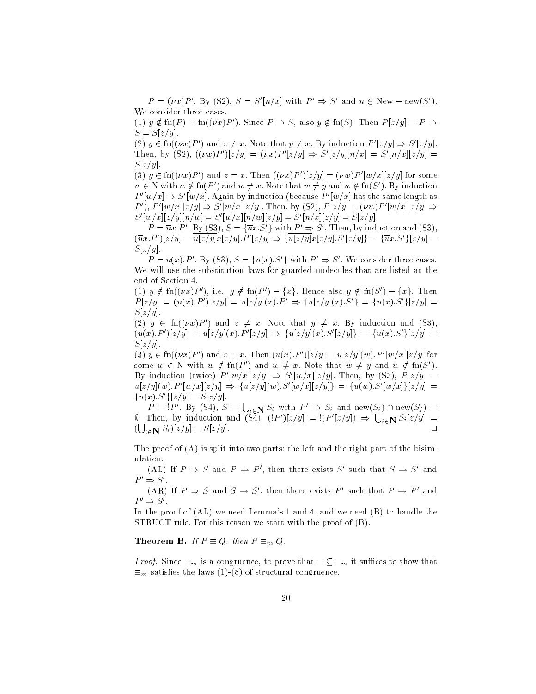$P = (vx)P$ . By (S2),  $S = S[n/x]$  with  $P \Rightarrow S$  and  $n \in \text{New} - \text{new}(S)$ . We consider three cases.

 $(1)$   $y \notin \text{In}(P) = \text{In}((\nu x)P)$ . Since  $P \Rightarrow S$ , also  $y \notin \text{In}(S)$ . Then  $P(z/y) = P \Rightarrow$  $S = S[z/y].$ 

 $(2)$   $y \in$  m $((\nu x)P)$  and  $z \neq x$ . Note that  $y \neq x$ . By induction P  $|z/y| \Rightarrow S$   $|z/y|$ . Then, by (52),  $((\nu x)P)(z/y) = (\nu x)P(z/y) \Rightarrow S(z/y||n/x) = S(n/x||z/y) =$  $S[z/y]$ .

(5)  $y \in \text{Im}(\nu x)F$  ) and  $z = x$ . Then  $(\nu x)F$   $(|z/y| = (\nu w)F$   $|w/x||z/y|$  for some  $w \in N$  with  $w \notin \text{inf}$   $F$  and  $w \neq x$ . Note that  $w \neq y$  and  $w \notin \text{inf}$   $S$  is pyrinduction  $P_1(w/x) \Rightarrow S_1(w/x)$ . Again by induction (because  $P_1(w/x)$  has the same length as P 1, P  $|w/x||z/y| \Rightarrow S|w/x||z/y|$ . Then, by (S2),  $P|z/y| = (vw)P |w/x||z/y| \Rightarrow$  $S([w/x][z/y][n/w] = S([w/x][n/w][z/y] = S([n/x][z/y] = S[z/y].$ 

 $P = ux.P$  . By (S9),  $S = \{ux.S.\}$  with  $P \Rightarrow S$ . Then, by induction and (S9),  $(ux.r)|z/y| = u|z/y|x|z/y|$ .  $F|z/y| \Rightarrow \{u|z/y|x|z/y|$ .  $S|z/y|$   $\xi = \{ux. S|z/y|$  $S[z/y].$ 

 $P = u(x)P$ . By (S3),  $S = \{u(x) \in S\}$  with  $P \Rightarrow S$ . We consider three cases. We will use the substitution laws for guarded molecules that are listed at the end of Section 4.

(1)  $y \notin \text{In}((\nu x) \nu)$ , i.e.,  $y \notin \text{In}(\nu) = \{x\}$ . Hence also  $y \notin \text{In}(\mathcal{S}) = \{x\}$ . Then  $P[z/y] = (u(x).P||z/y| = u|z/y|(x).P \Rightarrow \{u|z/y|(x).S\} = \{u(x).S\} |z/y| =$  $S[z/y]$ .

 $(2)$   $y \in$  In $( \nu x ) P$  ) and  $z \neq x$ . Note that  $y \neq x$ . By induction and (S3),  $(u(x), F |z/y| = u|z/y| (x), F |z/y| \Rightarrow \{u|z/y| (x), S |z/y| \} = \{u(x), S |z/y| \} =$  $S[z/y]$ .

(5)  $y \in \text{Im}((\nu x)F)$  and  $z = x$ . Then  $(u(x), F)|z/y| = u|z/y| (w) F |w/x| |z/y|$  for some  $w \in N$  with  $w \notin \Pi(P)$  and  $w \neq x$ . Note that  $w \neq y$  and  $w \notin \Pi(S)$ . By induction (twice)  $P(|w/x||z/y| \Rightarrow S(|w/x||z/y|)$ . Then, by (S3),  $P(z/y) =$  $u(z|y)(w)$ . P  $|w/x||z/y| \Rightarrow \{u|z/y| (w)$ . S  $|w/x||z/y| \} = \{u(w)$ . S  $|w/x| \} |z/y| =$  $\{u(x), S_1\} \mid z/y \mid \equiv |z/y|$ .

 $P = 'P'$ . By (S4),  $S = \bigcup_{i \in \mathbb{N}} S_i$  with  $P' \Rightarrow S_i$  and new(S<sub>i</sub>)  $\cap$  new(S<sub>j</sub>) = 0. Then, by induction and (S4),  $($ ! $P$ ' $)[z/y] =$ ! $($  $P'[{z/y}]$   $\Rightarrow$   $\bigcup_{i \in \mathbf{N}} S_i[{z/y}]$  =  $(\bigcup_{i \in \mathbf{N}} S_i)[z/y] = S[z/y].$ 

The proof of (A) is split into two parts: the left and the right part of the bisimulation.

(AL) If  $P \Rightarrow S$  and  $P \rightarrow P$  , then there exists  $S$  such that  $S \rightarrow S$  and  $P' \Rightarrow S'$ .

(AR) If  $P \Rightarrow S$  and  $S \rightarrow S$ , then there exists P such that  $P \rightarrow P$  and  $r \Rightarrow$   $\circ$  .

In the proof of (AL) we need Lemma's 1 and 4, and we need (B) to handle the STRUCT rule. For this reason we start with the proof of (B).

**Theorem B.** If  $P \equiv Q$ , then  $P \equiv_m Q$ .

*Proof.* Since  $\equiv_m$  is a congruence, to prove that  $\equiv \subseteq \equiv_m$  it suffices to show that  $\equiv_m$  satisfies the laws (1)-(8) of structural congruence.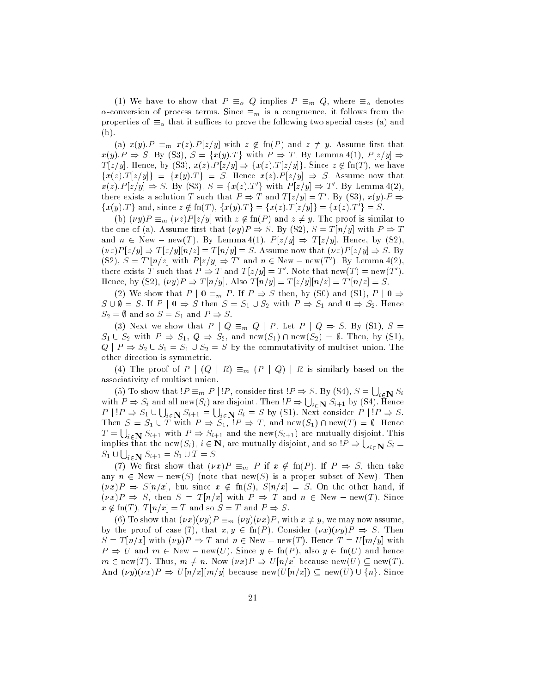(1) We have to show that  $P \equiv_{\alpha} Q$  implies  $P \equiv_{m} Q$ , where  $\equiv_{\alpha}$  denotes  $\alpha$ -conversion of process terms. Since  $\equiv_m$  is a congruence, it follows from the properties of  $\equiv_{\alpha}$  that it suffices to prove the following two special cases (a) and (b).

(a)  $x(y).P \equiv_m x(z).P[z/y]$  with  $z \notin fin(P)$  and  $z \neq y$ . Assume first that  $x(y).P \Rightarrow S.$  By (S3),  $S = \{x(y).T\}$  with  $P \Rightarrow T.$  By Lemma 4(1),  $P[z/y] \Rightarrow$  $T[z/y]$ . Hence, by (S3),  $x(z).P[z/y] \Rightarrow \{x(z).T[z/y]\}$ . Since  $z \notin \text{fn}(T)$ , we have  ${x(z).T [z/y]} = {x(y).T} = S$ . Hence  $x(z).P [z/y] \Rightarrow S$ . Assume now that  $x(z)$ ,  $P \mid z/y \mid \Rightarrow S$ . By (S3),  $S = \{x(z) | I \}$  with  $P \mid z/y \mid \Rightarrow I$ . By Lemma  $4(2)$ , there exists a solution T such that  $P \Rightarrow T$  and  $T[\bar{z}/y] = T$  . By (S3),  $x(y) \cdot P \Rightarrow T$  $\{x(y):T\}$  and, since  $z \notin \Pi(T)$ ,  $\{x(y):T\} = \{x(z):T|z/y|\} = \{x(z):T\} = S$ .

(b)  $(\nu y)P \equiv_m (\nu z)P[z/y]$  with  $z \notin fn(P)$  and  $z \neq y$ . The proof is similar to the one of (a). Assume first that  $(\nu y)P \Rightarrow S$ . By (S2),  $S = T[n/y]$  with  $P \Rightarrow T$ and  $n \in \text{New} - \text{new}(T)$ . By Lemma 4(1),  $P [z/y] \Rightarrow T [z/y]$ . Hence, by (S2),  $(\nu z)P[z/y] \Rightarrow T[z/y][n/z] = T[n/y] = S$ . Assume now that  $(\nu z)P[z/y] \Rightarrow S$ . By  $(32)$ ,  $S \equiv T \mid n/2 \mid \text{ with } T \mid Z/y \mid \Rightarrow T$  and  $n \in \text{New} = \text{new}(T)$ . By Lemma 4(2), there exists T such that  $P \Rightarrow T$  and  $T[\bar{z}/y] = T$  . Note that  $\text{new}(T) = \text{new}(T)$ .  $\text{Hence, by (S2), } (Vy)f \Rightarrow T[u/y], \text{ Also } T[u/y] = T[z/y][u/z] = T[u/z] = S.$ 

(2) We show that  $P | 0 \equiv_m P$ . If  $P \Rightarrow S$  then, by (S0) and (S1),  $P | 0 \Rightarrow$  $S \cup \emptyset = S$ . If  $P | 0 \Rightarrow S$  then  $S = S_1 \cup S_2$  with  $P \Rightarrow S_1$  and  $0 \Rightarrow S_2$ . Hence  $S_2 = \emptyset$  and so  $S = S_1$  and  $P \Rightarrow S$ .

(3) Next we show that  $P | Q \equiv_m Q | P$ . Let  $P | Q \Rightarrow S$ . By (S1),  $S =$  $S_1 \cup S_2$  with  $P \Rightarrow S_1, Q \Rightarrow S_2$ , and new $(S_1) \cap \text{new}(S_2) = \emptyset$ . Then, by  $(S1)$ ,  $Q \mid P \Rightarrow S_2 \cup S_1 = S_1 \cup S_2 = S$  by the commutativity of multiset union. The other direction is symmetric.

(4) The proof of  $P | (Q | R) \equiv_m (P | Q) | R$  is similarly based on the associativity of multiset union.

(5) To show that  $P \equiv_m P | P$ , consider first  $P \Rightarrow S$ . By (S4),  $S = \Box$ with  $P \Rightarrow S_i$  and all new  $(S_i)$  are disjoint. Then  $IP \Rightarrow \bigcup_{i \in \mathbf{N}} S_{i+1}$  by (S4). Hence  $P$  is  $P$  since  $Q$  if  $N$  sites  $Q$  if  $N$  sites  $Q$  is a set of  $Q$  in  $Q$  if  $Q$  is a set of  $Q$  if  $Q$  is a set of  $Q$  if  $Q$  is a set of  $Q$  if  $Q$  is a set of  $Q$  if  $Q$  is a set of  $Q$  if  $Q$  is a set of  $Q$  if  $Q$ Then <sup>S</sup> <sup>=</sup> S1 [ <sup>T</sup> with <sup>P</sup> ) S1, !P ) <sup>T</sup> , and new(S1) \ new(T ) <sup>=</sup> ;. Hence  $T = \bigcup_{i \in \mathbb{N}} S_{i+1}$  with  $P \Rightarrow S_{i+1}$  and the new $(S_{i+1})$  are mutually disjoint. This implies that the new(S<sub>i</sub>),  $i \in \mathbf{N}$ , are mutually disjoint, and so  $!P \Rightarrow \bigcup_{i \in \mathbf{N}} S_i =$  $S_1 \cup \bigcup_{i \in \mathbf{N}} S_{i+1} = S_1 \cup T = S.$ 

(7) We first show that  $(\nu x)P \equiv_m P$  if  $x \notin \text{fn}(P)$ . If  $P \Rightarrow S$ , then take any  $n \in \text{New}-\text{new}(S)$  (note that new(S) is a proper subset of New). Then  $(\nu x)P \Rightarrow S[n/x]$ , but since  $x \notin \text{fn}(S)$ ,  $S[n/x] = S$ . On the other hand, if  $(\nu x)P \Rightarrow S$ , then  $S = T[n/x]$  with  $P \Rightarrow T$  and  $n \in \text{New}-\text{new}(T)$ . Since  $x \notin \text{fn}(T)$ ,  $T[n/x] = T$  and so  $S = T$  and  $P \Rightarrow S$ .

(6) To show that  $(\nu x)(\nu y)P \equiv_m (\nu y)(\nu x)P$ , with  $x \neq y$ , we may now assume, by the proof of case (7), that  $x, y \in \text{fn}(P)$ . Consider  $(\nu x)(\nu y)P \Rightarrow S$ . Then  $S = T[n/x]$  with  $(vy)P \Rightarrow T$  and  $n \in New-new(T)$ . Hence  $T = U[m/y]$  with  $P \Rightarrow U$  and  $m \in \text{New}-\text{new}(U)$ . Since  $y \in \text{fn}(P)$ , also  $y \in \text{fn}(U)$  and hence  $m \in new(T)$ . Thus,  $m \neq n$ . Now  $(\nu x)P \Rightarrow U[n/x]$  because new $(U) \subseteq new(T)$ . And  $(\nu y)(\nu x)P \Rightarrow U[n/x][m/y]$  because new $(U[n/x]) \subseteq \text{new}(U) \cup \{n\}$ . Since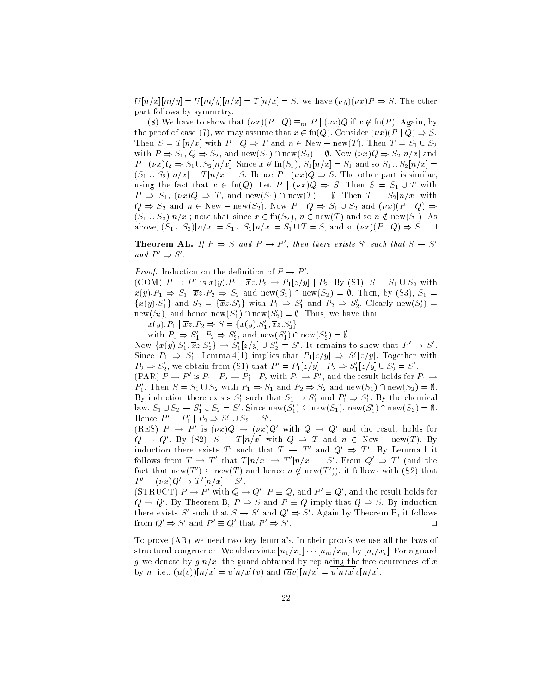$U[n/x][m/y] = U[m/y][n/x] = T[n/x] = S$ , we have  $(\nu y)(\nu x)P \Rightarrow S$ . The other part follows by symmetry.

(8) We have to show that  $(\nu x)(P \mid Q) \equiv_m P \mid (\nu x)Q$  if  $x \notin \text{fn}(P)$ . Again, by the proof of case (7), we may assume that  $x \in \text{fn}(Q)$ . Consider  $(\nu x)(P \mid Q) \Rightarrow S$ . Then  $S = T[n/x]$  with  $P \mid Q \Rightarrow T$  and  $n \in \text{New}-\text{new}(T)$ . Then  $T = S_1 \cup S_2$ with  $P \Rightarrow S_1, Q \Rightarrow S_2$ , and new $(S_1) \cap \text{new}(S_2) = \emptyset$ . Now  $(\nu x)Q \Rightarrow S_2[n/x]$  and  $P | (\nu x)Q \Rightarrow S_1 \cup S_2[n/x]$ . Since  $x \notin \text{fn}(S_1), S_1[n/x] = S_1$  and so  $S_1 \cup S_2[n/x] =$  $(S_1 \cup S_2)[n/x] = T[n/x] = S$ . Hence  $P \mid (vx)Q \Rightarrow S$ . The other part is similar, using the fact that  $x \in \text{fn}(Q)$ . Let  $P \mid (\nu x)Q \Rightarrow S$ . Then  $S = S_1 \cup T$  with  $P \Rightarrow S_1$ ,  $(\nu x)Q \Rightarrow T$ , and new(S<sub>1</sub>)  $\cap$  new(T) =  $\emptyset$ . Then  $T = S_2[n/x]$  with  $Q \Rightarrow S_2$  and  $n \in \text{New}-\text{new}(S_2)$ . Now  $P \mid Q \Rightarrow S_1 \cup S_2$  and  $(\nu x)(P \mid Q) \Rightarrow$  $(S_1 \cup S_2)[n/x]$ ; note that since  $x \in \text{fn}(S_2)$ ,  $n \in \text{new}(T)$  and so  $n \notin \text{new}(S_1)$ . As above,  $(S_1 \cup S_2)[n/x] = S_1 \cup S_2[n/x] = S_1 \cup T = S$ , and so  $(\nu x)(P \mid Q) \Rightarrow S$ .  $\Box$ 

**Theorem AL.** If  $P \Rightarrow S$  and  $P \rightarrow P$ , then there exists  $S$  such that  $S \rightarrow S$ . and  $P \Rightarrow S$ .

*Proof.* Induction on the definition of  $P \to P$ .

(COM)  $P \rightarrow P$  is  $x(y)$ ,  $P_1 \mid xz$ ,  $P_2 \rightarrow P_1|z/y|$  |  $P_2$ , by (S1),  $S = S_1 \cup S_2$  with  $x(y).P_1 \Rightarrow S_1, \overline{x}z.P_2 \Rightarrow S_2$  and new(S<sub>1</sub>)  $\cap$  new(S<sub>2</sub>) =  $\emptyset$ . Then, by (S3), S<sub>1</sub> =  $\{x(y), S_1\}$  and  $S_2 = \{xz, S_2\}$  with  $P_1 \Rightarrow S_1$  and  $P_2 \Rightarrow S_2$ . Clearly new( $S_i$ )  $\text{new}(\mathcal{S}_i)$ , and nence  $\text{new}(\mathcal{S}_1) \sqcup \text{new}(\mathcal{S}_2) = \text{\textit{v}}$ . Thus, we have that

 $x(y)$ ,  $P_1 \mid xz \mid P_2 \Rightarrow \beta = \{x(y) \mid S_1, xz \mid S_2\}$ 

with  $P_1 \Rightarrow S_1, P_2 \Rightarrow S_2$ , and new(S<sub>1</sub>) + new(S<sub>2</sub>) = y.

Now  $\{x(y), S_1, xz, S_2\} \rightarrow S_1[z/y] \cup S_2 = S$ . It remains to show that  $P \Rightarrow S$ . Since  $P_1 \Rightarrow S_1$ , Lemma 4(1) implies that  $P_1[z/y] \Rightarrow S_1[z/y]$ . Together with  $P_2 \Rightarrow S_2$ , we obtain from (S1) that  $P_1 = P_1[z/y] + P_2 \Rightarrow S_1[z/y] \cup S_2 = S$ .

(PAR)  $P \to P$  is  $P_1 \mid P_2 \to P_1 \mid P_2$  with  $P_1 \to P_1$ , and the result holds for  $P_1 \to$  $P_1$ . Then  $S = S_1 \cup S_2$  with  $P_1 \Rightarrow S_1$  and  $P_2 \Rightarrow S_2$  and new(S<sub>1</sub>)  $\cap$  new(S<sub>2</sub>) =  $\emptyset$ . By induction there exists  $S_1$  such that  $S_1 \to S_1$  and  $P_1 \Rightarrow S_1$ . By the chemical  $\lim_{\Omega} S_1 \cup S_2 \to S_1 \cup S_2 = S$ . Since  $\lim_{\Omega} (S_1) \subseteq \lim_{\Omega} (S_1)$ ,  $\lim_{\Omega} (S_1) \cap \lim_{\Omega} (S_2) = \emptyset$ .  $n = r_1 | r_2 \Rightarrow s_1 \cup s_2 = s$ .

(RES)  $P \rightarrow P$  is  $(\nu x)Q \rightarrow (\nu x)Q$  with  $Q \rightarrow Q$  and the result holds for  $Q \rightarrow Q$ . By (32),  $S = T[n/x]$  with  $Q \Rightarrow T$  and  $n \in \mathbb{N}$ ew  $T$  new(T). By induction there exists T such that  $I \rightarrow I$  and  $Q \Rightarrow I$ . By Lemma I it follows from  $T \to T$  that  $T[n/x] \to T[n/x] \equiv S$  . From  $Q \Rightarrow T$  (and the ract that new(1 )  $\subseteq$  new(1 ) and nence  $n\notin$  new(1 )), it follows with (S2) that  $P = (Vx)Q \Rightarrow I |n/x| = S$ .

 $(SIMUCL) P \rightarrow P$  with  $Q \rightarrow Q$  ,  $P \equiv Q$ , and  $P \equiv Q$  , and the result holds for  $Q \rightarrow Q$  . By Theorem B,  $P \Rightarrow S$  and  $P = Q$  imply that  $Q \Rightarrow S$ . By induction there exists  $S$  such that  $S \to S$  and  $Q \Rightarrow S$ . Again by Theorem B, it follows  $trom \omega \Rightarrow S$  and  $P = \omega$  that  $P \Rightarrow S$ 

To prove (AR) we need two key lemma's. In their proofs we use all the laws of structural congruence. We abbreviate  $[n_1/x_1] \cdots [n_m/x_m]$  by  $[n_i/x_i]$ . For a guard g we denote by  $g[n/x]$  the guard obtained by replacing the free ocurrences of x by n, i.e.,  $(u(v))[n/x] = u[n/x](v)$  and  $(\overline{u}v)[n/x] = u[n/x]v[n/x]$ .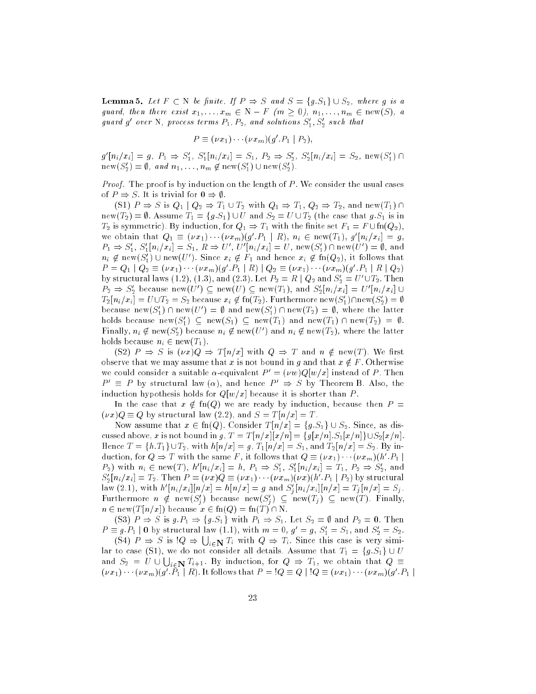**Lemma 5.** Let  $F \subset N$  be finite. If  $P \Rightarrow S$  and  $S = \{g.S_1\} \cup S_2$ , where g is a guard, then there exist  $x_1, \ldots, x_m \in N - F$   $(m \ge 0), n_1, \ldots, n_m \in new(S), a$ guara g over  $N$ , process terms  $P_1, P_2$ , and solutions  $S_1, S_2$  such that

$$
P \equiv (\nu x_1) \cdots (\nu x_m) (g'.P_1 \mid P_2),
$$

 $g[n_i/x_i] = g, r_1 \Rightarrow S_1, S_1[n_i/x_i] = S_1, r_2 \Rightarrow S_2, S_2[n_i/x_i] = S_2, \text{new}(S_1) \cup S_2$  $\text{new}(S_2) = \emptyset, \text{ and } n_1, \ldots, n_m \notin \text{new}(S_1) \cup \text{new}(S_2).$ 

*Proof.* The proof is by induction on the length of  $P$ . We consider the usual cases of  $P \Rightarrow S$ . It is trivial for  $0 \Rightarrow \emptyset$ .

(S1)  $P \Rightarrow S$  is  $Q_1 | Q_2 \Rightarrow T_1 \cup T_2$  with  $Q_1 \Rightarrow T_1, Q_2 \Rightarrow T_2$ , and new(T<sub>1</sub>)  $\cap$ new(T<sub>2</sub>) =  $\emptyset$ . Assume  $T_1 = \{g.S_1\} \cup U$  and  $S_2 = U \cup T_2$  (the case that g. S<sub>1</sub> is in  $T_2$  is symmetric). By induction, for  $Q_1 \Rightarrow T_1$  with the finite set  $F_1 = F \cup \text{fn}(Q_2)$ , we obtain that  $Q_1 = (\nu x_1) \cdots (\nu x_m) (y \; r_1 + n), \; n_i \in {\rm new}(T_1), \; y \; |n_i/x_i| = y,$  $P_1 \Rightarrow S_1, S_1[n_i/x_i] = S_1, K \Rightarrow U, U [n_i/x_i] = U, new(S_1) \cup new(U) = \emptyset$ , and  $n_i \notin \text{new}(\mathcal{S}_1) \cup \text{new}(U)$ . Since  $x_i \notin \mathit{F}_1$  and hence  $x_i \notin \text{in}(\mathcal{Q}_2)$ , it follows that  $P = Q_1 | Q_2 = (Vx_1) \cdots (Vx_m)(q \cdot P_1 | R) | Q_2 = (Vx_1) \cdots (Vx_m)(q \cdot P_1 | R | Q_2)$ by structural laws  $(1.2)$ ,  $(1.5)$ , and  $(2.3)$ . Let  $P_2 = R \mid Q_2$  and  $S_2 = U \cup I_2$ . Then  $P_2 \Rightarrow S_2$  because new(U)  $\subseteq$  new(U)  $\subseteq$  new(11), and  $S_2[n_i/x_i] = U[n_i/x_i] \cup$  $T_2[n_i/x_i] = U \cup T_2 = S_2$  because  $x_i \notin \text{In}(T_2)$ . Furthermore  $\text{new}(S_1)$ l Inew $(S_2) = \emptyset$ because new( $S_1$ )  $\cap$  new(U  $\rangle$  =  $\psi$  and new( $S_1$ )  $\cap$  new( $T_2$ ) =  $\psi$ , where the latter noids because new( $S_1$ )  $\subseteq$  new( $S_1$ )  $\subseteq$  new( $T_1$ ) and new( $T_1$ )  $\cap$  new( $T_2$ )  $\equiv$   $\nu$ . rinally,  $n_i \notin \text{new}(\mathcal{S}_2)$  because  $n_i \notin \text{new}(\mathit{U}_i)$  and  $n_i \notin \text{new}(T_2)$ , where the latter holds because  $n_i \in new(T_1)$ .

(S2)  $P \Rightarrow S$  is  $(\nu x)Q \Rightarrow T[n/x]$  with  $Q \Rightarrow T$  and  $n \notin new(T)$ . We first observe that we may assume that x is not bound in g and that  $x \notin F$ . Otherwise we could consider a suitable  $\alpha$ -equivalent  $P' = (\nu w)Q[w/x]$  instead of P. Then  $P' \equiv P$  by structural law  $(\alpha)$ , and hence  $P' \Rightarrow S$  by Theorem B. Also, the induction hypothesis holds for  $Q[w/x]$  because it is shorter than P.

In the case that  $x \notin \text{fn}(Q)$  we are ready by induction, because then  $P =$  $(\nu x)Q \equiv Q$  by structural law (2.2), and  $S = T[n/x] = T$ .

Now assume that  $x \in \text{fn}(Q)$ . Consider  $T[n/x] = \{g.S_1\} \cup S_2$ . Since, as discussed above, x is not bound in g,  $T = T[n/x][x/n] = \{g[x/n].S_1[x/n]\} \cup S_2[x/n]$ . Hence  $T = \{h.T_1\} \cup T_2$ , with  $h[n/x] = g$ ,  $T_1[n/x] = S_1$ , and  $T_2[n/x] = S_2$ . By induction, for  $Q \Rightarrow I$  with the same F , it follows that  $Q = (\nu x_1) \cdots (\nu x_m)(h/P_1)$  $P_2$ ) with  $n_i \in \text{new}(T)$ ,  $n | n_i / x_i | = n, P_1 \Rightarrow S_1, S_1 | n_i / x_i | = T_1, P_2 \Rightarrow S_2$ , and  $S_2[n_i/x_i]=I_2.$  Then  $P=(\nu x)Q=(\nu x_1)\cdots(\nu x_m)(\nu x)$  (h  $\lceil P_1\rceil\lceil P_2\rceil$  by structural law (2.1), with  $h^*[n_i/x_i][n/x] = n[n/x] = g$  and  $S_i[n_i/x_i][n/x] = I_j[n/x] = S_j$ . **Furthermore**  $n \notin \text{new}(S_i)$  because  $\text{new}(S_i) \subseteq \text{new}(T_i) \subseteq \text{new}(T)$ . Finally,  $n \in \text{new}(T [n/x])$  because  $x \in \text{fn}(Q) = \text{fn}(T) \cap \text{N}$ .

(S3)  $P \Rightarrow S$  is  $g.P_1 \Rightarrow \{g.S_1\}$  with  $P_1 \Rightarrow S_1$ . Let  $S_2 = \emptyset$  and  $P_2 = 0$ . Then  $P = y.P_1$  | 0 by structural law (1.1), with  $m = 0, y = y, S_1 = S_1$ , and  $S_2 = S_2$ .

(S4)  $P \Rightarrow S$  is  $Q \Rightarrow \bigcup_{i \in \mathbb{N}} T_i$  with  $Q \Rightarrow T_i$ . Since this case is very similar to case (S1), we do not consider all details. Assume that  $T_1 = \{g.S_1\} \cup U$ and  $S_2$  =  $U \cup \bigcup_{i \in \mathbf{N}} T_{i+1}$ . By induction, for  $Q \Rightarrow T_1$ , we obtain that  $Q \equiv$  $(\nu x_1)$   $(\nu x_m)(y \vert T_1 \vert R)$ . It follows that  $P = Q \vert Q = Q \vert Q = (\nu x_1)$   $(\nu x_m)(y \vert T_1 \vert R)$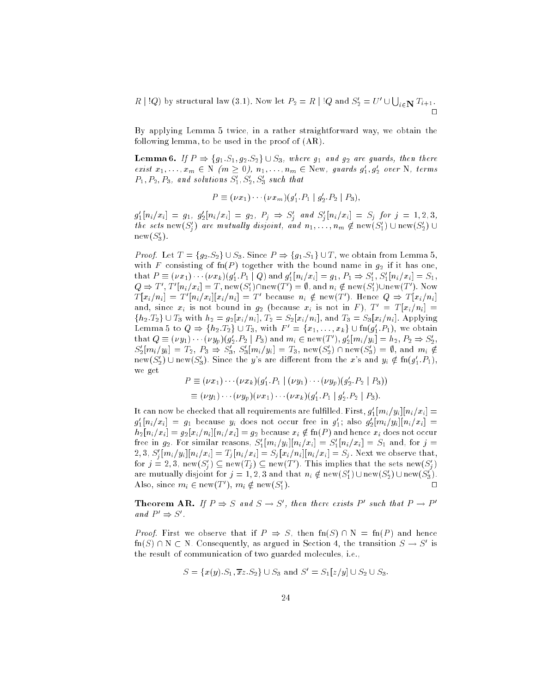$R \mid Q$ ) by structural law (3.1). Now let  $P_2 = R \mid Q$  and  $S'_2 = U' \cup \bigcup_{i \in \mathbf{N}} T_{i+1}$ .

By applying Lemma 5 twice, in a rather straightforward way, we obtain the following lemma, to be used in the proof of (AR).

**Lemma 6.** If  $P \Rightarrow \{g_1.S_1,g_2.S_2\} \cup S_3$ , where  $g_1$  and  $g_2$  are guards, then there exist  $x_1, \ldots, x_m \in N$  ( $m \geq 0$ ),  $n_1, \ldots, n_m \in \text{New}$ , guards  $g_1, g_2$  over  $N$ , terms  $P_1, P_2, P_3,$  and solutions  $\mathcal{D}_1, \mathcal{D}_2, \mathcal{D}_3$  such that

$$
P \equiv (\nu x_1) \cdots (\nu x_m) (g'_1.P_1 \mid g'_2.P_2 \mid P_3),
$$

 $g_1[n_i/x_i] = g_1, g_2[n_i/x_i] = g_2, r_j \Rightarrow S_j$  and  $S_j[n_i/x_i] = S_j$  for  $j = 1, 2, 3, j$ the sets hew( $S_i$ ) are mutually atsjoint, and  $n_1, \ldots, n_m \notin \text{new}(S_1) \cup \text{new}(S_2) \cup$  $new(3)$ .

*Proof.* Let  $T = \{g_2.S_2\} \cup S_3$ . Since  $P \Rightarrow \{g_1.S_1\} \cup T$ , we obtain from Lemma 5, with F consisting of  $fn(P)$  together with the bound name in  $g_2$  if it has one, that  $P = (Vx_1) \cdots (Vx_k)(g_1.F_1 \mid Q)$  and  $g_1[n_i/x_i] = g_1, F_1 \Rightarrow S_1, S_1[n_i/x_i] = S_1$ ,  $Q \Rightarrow I$ ,  $I$   $[n_i/x_i] = I$ , new(S<sub>1</sub>) $\sqcap$  inew(T  $) = \emptyset$ , and  $n_i \notin \text{new}(S_1) \cup \text{new}(T)$ . Now  $T[x_i/n_i] = T[n_i/x_i || x_i/n_i] = T$  because  $n_i \notin \text{new}(T)$ . Hence  $Q \Rightarrow T[x_i/n_i]$ and, since  $x_i$  is not bound in  $g_2$  (because  $x_i$  is not in F),  $T' = T [x_i/n_i] =$  ${h_2.T_2} \cup T_3$  with  $h_2 = g_2[x_i/n_i]$ ,  $T_2 = S_2[x_i/n_i]$ , and  $T_3 = S_3[x_i/n_i]$ . Applying Lemma 5 to  $Q \Rightarrow \{n_2, n_2\} \cup T_3$ , with  $F = \{x_1, \ldots, x_k\} \cup \{n_1, n_1\}$ , we obtain that  $Q = (\nu y_1) \cdots (\nu y_p)(y_2 \cdot P_2 \mid P_3)$  and  $m_i \in \text{new}(T)$ ,  $y_2[m_i/y_i] = n_2$ ,  $P_2 \Rightarrow S_2$ ,  $S_2[m_i/y_i] = I_2, T_3 \Rightarrow S_3, S_3[m_i/y_i] = I_3, \text{ new}(S_2) + \text{new}(S_3) = \emptyset, \text{ and } m_i \notin \emptyset$ new(S'<sub>2</sub>)  $\cup$  new(S'<sub>3</sub>). Since the y's are different from the x's and  $y_i \notin \text{fn}(g'_1.P_1)$ , we get

$$
P \equiv (\nu x_1) \cdots (\nu x_k) (g'_1 \cdot P_1 \mid (\nu y_1) \cdots (\nu y_p) (g'_2 \cdot P_2 \mid P_3))
$$
  

$$
\equiv (\nu y_1) \cdots (\nu y_p) (\nu x_1) \cdots (\nu x_k) (g'_1 \cdot P_1 \mid g'_2 \cdot P_2 \mid P_3).
$$

It can now be checked that all requirements are fulfilled. First,  $g_1[m_i/y_i][n_i/x_i] =$  $g_1[n_i/x_i] = g_1$  because  $y_i$  does not occur free in  $g_1$ ; also  $g_2[m_i/y_i]|n_i/x_i| =$  $h_2[n_i/x_i] = g_2[x_i/n_i][n_i/x_i] = g_2$  because  $x_i \notin \text{fn}(P)$  and hence  $x_i$  does not occur free in  $g_2$ , for similar reasons,  $S_1[m_i/y_i][n_i/x_i] = S_1[n_i/x_i] = S_1$  and, for  $j =$  $Z_i$ ,  $S_j$ ,  $Z_j$  [ $m_i$ / $y_i$ ][ $n_i$ / $x_i$ ]  $=$   $I_j$  [ $n_i$ / $x_i$ ]  $=$   $S_j$  [ $x_i$ / $n_i$ ][ $n_i$ / $x_i$ ]  $=$   $S_j$  . Next we observe that, for  $j = 2, 3$ , new $(S_i) \subseteq \text{new}(T_j) \subseteq \text{new}(T_j)$ . This implies that the sets new $(S_i)$ are mutually disjoint for  $j = 1, 2, 3$  and that  $n_i \notin \text{new}(\mathcal{S}_1) \cup \text{new}(\mathcal{S}_2) \cup \text{new}(\mathcal{S}_3)$ .  $\Box$ Also, since  $m_i \in \text{new}(T)$ ,  $m_i \notin \text{new}(\mathcal{D}_1)$  $1$ ).  $\blacksquare$ 

**Theorem AR.** If  $P \supseteq S$  and  $S \supseteq S$ , then there exists P such that  $P \supseteq P$ and  $\Gamma \Rightarrow S$ .

*Proof.* First we observe that if  $P \Rightarrow S$ , then  $\text{fn}(S) \cap N = \text{fn}(P)$  and hence  $\text{Im}(S) \sqcup \text{N} \subset \text{N}$ . Consequently, as argued in Section 4, the transition  $S \to S^0$  is the result of communication of two guarded molecules, i.e.,

$$
S = \{x(y).S_1, \overline{x}z.S_2\} \cup S_3 \text{ and } S' = S_1[z/y] \cup S_2 \cup S_3.
$$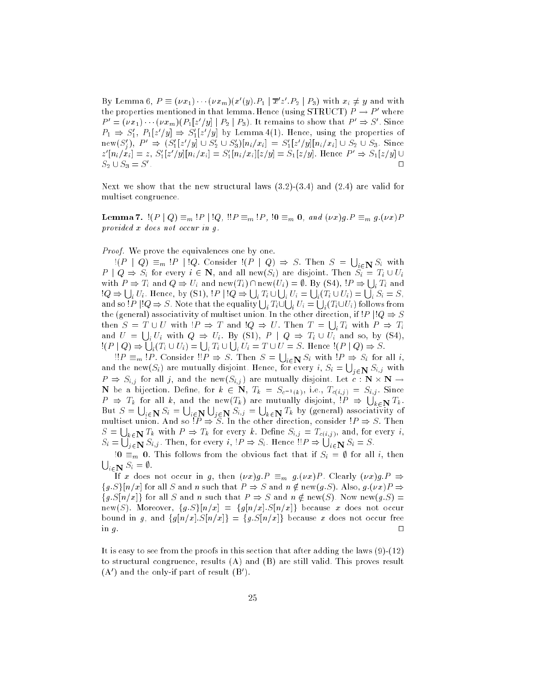By Lemma  $\sigma, P = (\nu x_1) \cdots (\nu x_m)(x_1, y_1, P_1 + x_2, P_2 + P_3)$  with  $x_i \neq y$  and with the properties mentioned in that lemma. Hence (using  $\mathfrak{I}\text{HUCI})\, P\to P\,$  where  $P = (\nu x_1) \cdots (\nu x_m)(P_1|z|/y) | P_2 | P_3$ ). It remains to show that  $P \Rightarrow S$  . Since  $P_1 \Rightarrow S_1, P_1[z/y] \Rightarrow S_1[z/y]$  by Lemma 4(1). Hence, using the properties of  $\lim_{i \to \infty} \sum_{j=1}^n |S_{1}[z|/y] \cup S_2 \cup S_3] |n_i/x_i| = S_1[z|/y] |n_i/x_i| \cup S_2 \cup S_3.$  Since  $z_{\parallel}$ n<sub>i</sub>/ $x_i$ <sub>i</sub> $= z$ ,  $S_1$ <sub>i</sub> $z_{\parallel}$  $y_{\parallel}$ | $n_i$ / $x_i$ <sub>i</sub> $= S_1$ | $n_i$ / $x_i$ <sub>i</sub>| $z$ / $y$ | $= S_1$ | $z$ / $y$ | $\perp$   $\perp$   $S_1$ | $z$ / $y$ | $\perp$  $S_2 \cup S_3 = S'$ .

Next we show that the new structural laws (3.2)-(3.4) and (2.4) are valid for multiset congruence.

**Lemma 7.**  $!(P \mid Q) \equiv_m !P \mid !Q, \, (!P \equiv_m !P, \, !0 \equiv_m 0, \text{ and } (\nu x)g.P \equiv_m g.(\nu x)P$ provided x does not occur in g.

Proof. We prove the equivalences one by one.

 $\exists (P \mid Q) \equiv_m P \mid Q$ . Consider  $\exists (P \mid Q) \Rightarrow S$ . Then  $S = \bigcup_{i \in \mathbb{N}} S_i$  with  $P \mid Q \Rightarrow S_i$  for every  $i \in \mathbb{N}$ , and all new $(S_i)$  are disjoint. Then  $S_i = T_i \cup U_i$ with  $P \Rightarrow T_i$  and  $Q \Rightarrow U_i$  and new $(T_i) \cap \text{new}(U_i) = \emptyset$ . By (S4),  $!P \Rightarrow \bigcup_i T_i$  and  $\Box Q \Rightarrow \bigcup_i U_i$ . Hence, by (S1),  $\Box P \parallel \Box Q \Rightarrow \bigcup_i T_i \cup \bigcup_i U_i = \bigcup_i (T_i \cup U_i) = \bigcup_i S_i = S,$ and so !P  $|!Q \Rightarrow S$  . Note that the equality  $\bigcup_i T_i \cup \bigcup_i U_i = \bigcup_i (T_i \cup U_i)$  follows from <sup>i</sup> the (general) associativity of multiset union. In the other direction, if  $|P| |Q \Rightarrow S$ then  $S = T \cup U$  with  $P \Rightarrow T$  and  $Q \Rightarrow U$ . Then  $T = \bigcup_i T_i$  with  $P \Rightarrow T_i$ and  $U = \bigcup_i U_i$  with  $Q \Rightarrow U_i$ . By (S1),  $P | Q \Rightarrow T_i \cup U_i$  and so, by (S4),  $!(P \mid Q) \Rightarrow |$  $\mathcal{L}_i(T_i \cup U_i) = \bigcup_i T_i \cup \bigcup_i U_i = T \cup U = S.$  Hence  $!(P \mid Q) \Rightarrow S.$ 

 $P \equiv_m P$ . Consider  $P \Rightarrow S$ . Then  $S = \bigcup_{i \in \mathbb{N}} S_i$  with  $P \Rightarrow S_i$  for all i, and the new $(S_i)$  are mutually disjoint. Hence, for every  $i, S_i = \bigcup_{j \in \mathbf{N}} S_{i,j}$  with  $P = 0.1$  since and the new (Si;j ) are mutually disjoint. Let  $\mathcal{P} = 0.1$  /  $\epsilon$ , so a bijection. Denne, for  $\kappa$   $\in$   $\epsilon$ ,  $\epsilon$ ,  $\epsilon$ ,  $\epsilon$ ,  $\epsilon$ ,  $\epsilon$ ,  $\epsilon$ ,  $\epsilon$ ,  $\epsilon$ ,  $\epsilon$ ,  $\epsilon$ ,  $\epsilon$ ,  $\epsilon$ ,  $\epsilon$ ,  $\epsilon$ ,  $\epsilon$ ,  $\epsilon$ ,  $\epsilon$ ,  $\epsilon$ ,  $\epsilon$ ,  $\epsilon$ ,  $\epsilon$ ,  $\epsilon$ ,  $\epsilon$ ,  $\epsilon$ ,  $\epsilon$ ,  $\epsilon$ ,  $\epsilon$ ,  $\epsilon$ ,  $\epsilon$  $P \Rightarrow T_k$  for all k, and the new(T<sub>k</sub>) are mutually disjoint,  $P \Rightarrow \bigcup_{k \in \mathbb{N}} T_k$ . But  $S = \bigcup_{i \in \mathbf{N}} S_i = \bigcup$  $\sim$   $\sim$   $\sim$  $\bigcup_{i\in\mathbf{N}} S_{i,j} = \bigcup_{k\in\mathbf{N}} T_k$  by (general) associativity of multiset union. And so !P ) S. In the other direction, consider !P ) S. Then  $S = \bigcup_{k \in \mathbf{N}} T_k$  with  $P \Rightarrow T_k$  for every k. Define  $S_{i,j} = T_{c(i,j)}$ , and, for every i,  $S_i = \bigcup_{j \in \mathbf{N}} S_{i,j}$ . Then, for every  $i, \exists P \Rightarrow S_i$ . Hence  $\exists P \Rightarrow \bigcup_{i \in \mathbf{N}} S_i = S$ .

 $!0 \equiv_m 0$ . This follows from the obvious fact that if  $S_i = \emptyset$  for all i, then  $\bigcup_{i \in \mathbf{N}} S_i = \emptyset.$ 

If x does not occur in g, then  $(\nu x)g.P \equiv_m g.(\nu x)P$ . Clearly  $(\nu x)g.P \Rightarrow$  ${g.S}\[n/x]$  for all S and n such that  $P \Rightarrow S$  and  $n \notin new(g.S)$ . Also,  $g.(vx)P \Rightarrow$  $\{g.S[n/x]\}\$ for all S and n such that  $P \Rightarrow S$  and  $n \notin new(S)$ . Now new $(g.S)$  = new(S). Moreover,  ${g.S}[n/x] = {g[n/x].S[n/x]}$  because x does not occur bound in g, and  $\{g[n/x], S[n/x]\} = \{g.S[n/x]\}$  because x does not occur free  $\Box$ in g. utiliser in general states and the control of the control of the control of the control of the control of the control of the control of the control of the control of the control of the control of the control of the c

It is easy to see from the proofs in this section that after adding the laws  $(9)-(12)$ to structural congruence, results (A) and (B) are still valid. This proves result (A ) and the only-if part of result (D ).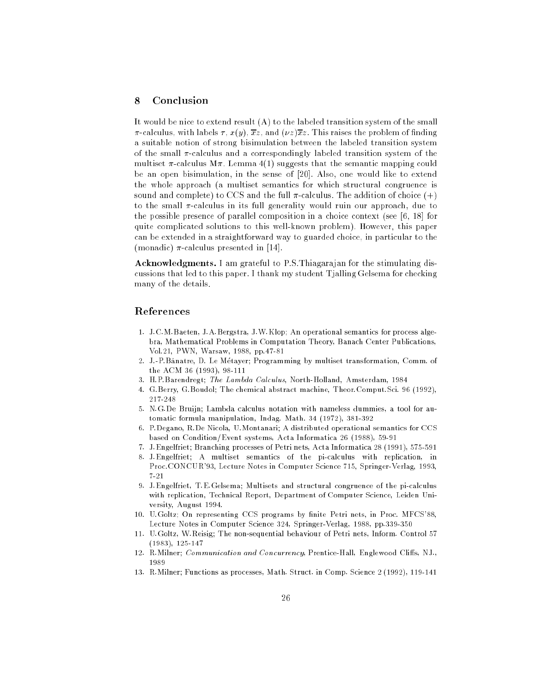# <sup>8</sup> Conclusion

It would be nice to extend result (A) to the labeled transition system of the small  $\pi$ -calculus, with labels  $\tau$ ,  $x(y)$ ,  $\overline{x}z$ , and  $(\nu z)\overline{x}z$ . This raises the problem of finding a suitable notion of strong bisimulation between the labeled transition system of the small  $\pi$ -calculus and a correspondingly labeled transition system of the multiset  $\pi$ -calculus M $\pi$ . Lemma 4(1) suggests that the semantic mapping could be an open bisimulation, in the sense of [20]. Also, one would like to extend the whole approach (a multiset semantics for which structural congruence is sound and complete) to CCS and the full  $\pi$ -calculus. The addition of choice  $(+)$ to the small  $\pi$ -calculus in its full generality would ruin our approach, due to the possible presence of parallel composition in a choice context (see [6, 18] for quite complicated solutions to this well-known problem). However, this paper can be extended in a straightforward way to guarded choice, in particular to the (monadic)  $\pi$ -calculus presented in [14].

Acknowledgments. I am grateful to P.S.Thiagarajan for the stimulating discussions that led to this paper. I thank my student Tjalling Gelsema for checking many of the details.

#### References

- 1. J.C.M.Baeten, J.A.Bergstra, J.W.Klop; An operational semantics for process algebra, Mathematical Problems in Computation Theory, Banach Center Publications, Vol.21, PWN, Warsaw, 1988, pp.47-81
- 2. J.-P.B^anatre, D. Le Metayer; Programming by multiset transformation, Comm. of the ACM 36 (1993), 98-111
- 3. H.P.Barendregt; The Lambda Calculus, North-Holland, Amsterdam, 1984
- 4. G.Berry, G.Boudol; The chemical abstract machine, Theor.Comput.Sci. 96 (1992), 217-248
- 5. N.G.De Bruijn; Lambda calculus notation with nameless dummies, a tool for automatic formula manipulation, Indag. Math. 34 (1972), 381-392
- 6. P.Degano, R.De Nicola, U.Montanari; A distributed operational semantics for CCS based on Condition/Event systems, Acta Informatica 26 (1988), 59-91
- 7. J.Engelfriet; Branching processes of Petri nets, Acta Informatica 28 (1991), 575-591
- 8. J.Engelfriet; A multiset semantics of the pi-calculus with replication, in Proc.CONCUR'93, Lecture Notes in Computer Science 715, Springer-Verlag, 1993,  $7 - 21$
- 9. J.Engelfriet, T.E.Gelsema; Multisets and structural congruence of the pi-calculus with replication, Technical Report, Department of Computer Science, Leiden University, August 1994.
- 10. U.Goltz; On representing CCS programs by finite Petri nets, in Proc. MFCS'88, Lecture Notes in Computer Science 324, Springer-Verlag, 1988, pp.339-350
- 11. U.Goltz, W.Reisig; The non-sequential behaviour of Petri nets, Inform. Control 57 (1983), 125-147
- 12. R.Milner; Communication and Concurrency, Prentice-Hall, Englewood Cliffs, NJ., 1989
- 13. R.Milner; Functions as processes, Math. Struct. in Comp. Science 2 (1992), 119-141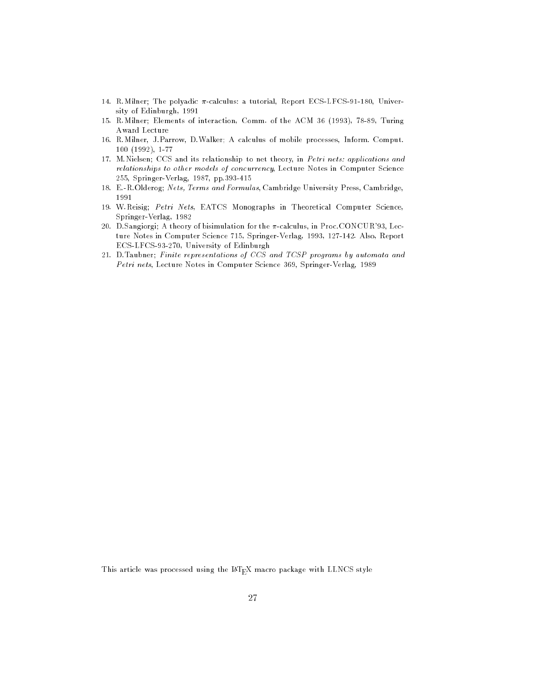- 14. R.Milner; The polyadic  $\pi$ -calculus: a tutorial, Report ECS-LFCS-91-180, University of Edinburgh, 1991
- 15. R.Milner; Elements of interaction, Comm. of the ACM 36 (1993), 78-89, Turing Award Lecture
- 16. R.Milner, J.Parrow, D.Walker; A calculus of mobile processes, Inform. Comput. 100 (1992), 1-77
- 17. M.Nielsen; CCS and its relationship to net theory, in Petri nets: applications and relationships to other models of concurrency, Lecture Notes in Computer Science 255, Springer-Verlag, 1987, pp.393-415
- 18. E.-R.Olderog; Nets, Terms and Formulas, Cambridge University Press, Cambridge, 1991
- 19. W.Reisig; Petri Nets, EATCS Monographs in Theoretical Computer Science, Springer-Verlag, 1982
- 20. D.Sangiorgi; A theory of bisimulation for the  $\pi$ -calculus, in Proc.CONCUR'93, Lecture Notes in Computer Science 715, Springer-Verlag, 1993, 127-142. Also, Report ECS-LFCS-93-270, University of Edinburgh
- 21. D.Taubner; Finite representations of CCS and TCSP programs by automata and Petri nets, Lecture Notes in Computer Science 369, Springer-Verlag, 1989

This article was processed using the IATEX macro package with LLNCS style